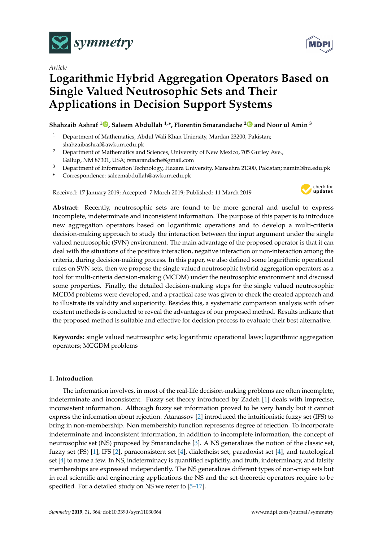

*Article*

# **Logarithmic Hybrid Aggregation Operators Based on Single Valued Neutrosophic Sets and Their Applications in Decision Support Systems**

## **Shahzaib Ashraf [1](https://orcid.org/0000-0002-8616-8829) , Saleem Abdullah 1,\*, Florentin Smarandache [2](https://orcid.org/0000-0002-5560-5926) and Noor ul Amin <sup>3</sup>**

- <sup>1</sup> Department of Mathematics, Abdul Wali Khan Uniersity, Mardan 23200, Pakistan; shahzaibashraf@awkum.edu.pk
- <sup>2</sup> Department of Mathematics and Sciences, University of New Mexico, 705 Gurley Ave., Gallup, NM 87301, USA; fsmarandache@gmail.com
- <sup>3</sup> Department of Information Technology, Hazara University, Mansehra 21300, Pakistan; namin@hu.edu.pk
- **\*** Correspondence: saleemabdullah@awkum.edu.pk

Received: 17 January 2019; Accepted: 7 March 2019; Published: 11 March 2019



**Abstract:** Recently, neutrosophic sets are found to be more general and useful to express incomplete, indeterminate and inconsistent information. The purpose of this paper is to introduce new aggregation operators based on logarithmic operations and to develop a multi-criteria decision-making approach to study the interaction between the input argument under the single valued neutrosophic (SVN) environment. The main advantage of the proposed operator is that it can deal with the situations of the positive interaction, negative interaction or non-interaction among the criteria, during decision-making process. In this paper, we also defined some logarithmic operational rules on SVN sets, then we propose the single valued neutrosophic hybrid aggregation operators as a tool for multi-criteria decision-making (MCDM) under the neutrosophic environment and discussd some properties. Finally, the detailed decision-making steps for the single valued neutrosophic MCDM problems were developed, and a practical case was given to check the created approach and to illustrate its validity and superiority. Besides this, a systematic comparison analysis with other existent methods is conducted to reveal the advantages of our proposed method. Results indicate that the proposed method is suitable and effective for decision process to evaluate their best alternative.

**Keywords:** single valued neutrosophic sets; logarithmic operational laws; logarithmic aggregation operators; MCGDM problems

## **1. Introduction**

The information involves, in most of the real-life decision-making problems are often incomplete, indeterminate and inconsistent. Fuzzy set theory introduced by Zadeh [\[1\]](#page-20-0) deals with imprecise, inconsistent information. Although fuzzy set information proved to be very handy but it cannot express the information about rejection. Atanassov [\[2\]](#page-20-1) introduced the intuitionistic fuzzy set (IFS) to bring in non-membership. Non membership function represents degree of rejection. To incorporate indeterminate and inconsistent information, in addition to incomplete information, the concept of neutrosophic set (NS) proposed by Smarandache [\[3\]](#page-20-2). A NS generalizes the notion of the classic set, fuzzy set (FS) [\[1\]](#page-20-0), IFS [\[2\]](#page-20-1), paraconsistent set [\[4\]](#page-20-3), dialetheist set, paradoxist set [\[4\]](#page-20-3), and tautological set [\[4\]](#page-20-3) to name a few. In NS, indeterminacy is quantified explicitly, and truth, indeterminacy, and falsity memberships are expressed independently. The NS generalizes different types of non-crisp sets but in real scientific and engineering applications the NS and the set-theoretic operators require to be specified. For a detailed study on NS we refer to [\[5–](#page-20-4)[17\]](#page-21-0).

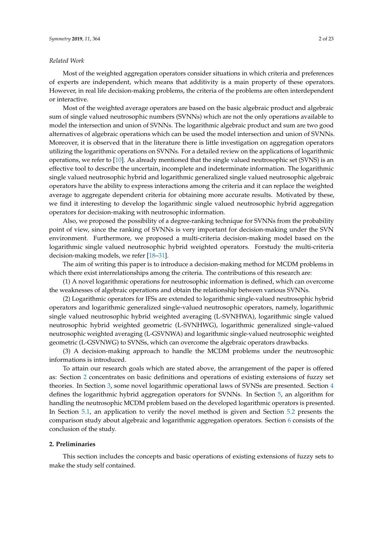#### *Related Work*

Most of the weighted aggregation operators consider situations in which criteria and preferences of experts are independent, which means that additivity is a main property of these operators. However, in real life decision-making problems, the criteria of the problems are often interdependent or interactive.

Most of the weighted average operators are based on the basic algebraic product and algebraic sum of single valued neutrosophic numbers (SVNNs) which are not the only operations available to model the intersection and union of SVNNs. The logarithmic algebraic product and sum are two good alternatives of algebraic operations which can be used the model intersection and union of SVNNs. Moreover, it is observed that in the literature there is little investigation on aggregation operators utilizing the logarithmic operations on SVNNs. For a detailed review on the applications of logarithmic operations, we refer to [\[10\]](#page-21-1). As already mentioned that the single valued neutrosophic set (SVNS) is an effective tool to describe the uncertain, incomplete and indeterminate information. The logarithmic single valued neutrosophic hybrid and logarithmic generalized single valued neutrosophic algebraic operators have the ability to express interactions among the criteria and it can replace the weighted average to aggregate dependent criteria for obtaining more accurate results. Motivated by these, we find it interesting to develop the logarithmic single valued neutrosophic hybrid aggregation operators for decision-making with neutrosophic information.

Also, we proposed the possibility of a degree-ranking technique for SVNNs from the probability point of view, since the ranking of SVNNs is very important for decision-making under the SVN environment. Furthermore, we proposed a multi-criteria decision-making model based on the logarithmic single valued neutrosophic hybrid weighted operators. Forstudy the multi-criteria decision-making models, we refer [\[18–](#page-21-2)[31\]](#page-21-3).

The aim of writing this paper is to introduce a decision-making method for MCDM problems in which there exist interrelationships among the criteria. The contributions of this research are:

(1) A novel logarithmic operations for neutrosophic information is defined, which can overcome the weaknesses of algebraic operations and obtain the relationship between various SVNNs.

(2) Logarithmic operators for IFSs are extended to logarithmic single-valued neutrosophic hybrid operators and logarithmic generalized single-valued neutrosophic operators, namely, logarithmic single valued neutrosophic hybrid weighted averaging (L-SVNHWA), logarithmic single valued neutrosophic hybrid weighted geometric (L-SVNHWG), logarithmic generalized single-valued neutrosophic weighted averaging (L-GSVNWA) and logarithmic single-valued neutrosophic weighted geometric (L-GSVNWG) to SVNSs, which can overcome the algebraic operators drawbacks.

(3) A decision-making approach to handle the MCDM problems under the neutrosophic informations is introduced.

To attain our research goals which are stated above, the arrangement of the paper is offered as: Section [2](#page-1-0) concentrates on basic definitions and operations of existing extensions of fuzzy set theories. In Section [3,](#page-4-0) some novel logarithmic operational laws of SVNSs are presented. Section [4](#page-7-0) defines the logarithmic hybrid aggregation operators for SVNNs. In Section [5,](#page-16-0) an algorithm for handling the neutrosophic MCDM problem based on the developed logarithmic operators is presented. In Section [5.1,](#page-16-1) an application to verify the novel method is given and Section [5.2](#page-18-0) presents the comparison study about algebraic and logarithmic aggregation operators. Section [6](#page-20-5) consists of the conclusion of the study.

## <span id="page-1-0"></span>**2. Preliminaries**

This section includes the concepts and basic operations of existing extensions of fuzzy sets to make the study self contained.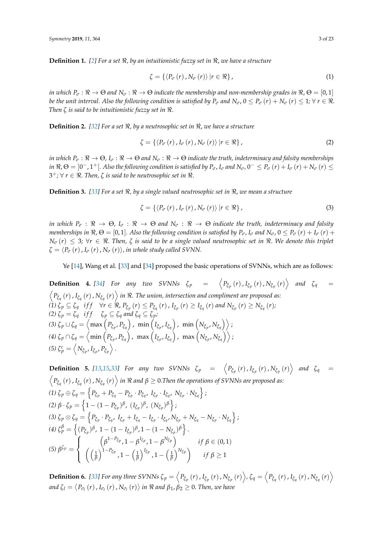**Definition 1.** [\[2\]](#page-20-1) For a set  $\Re$ , by an intuitionistic fuzzy set in  $\Re$ , we have a structure

$$
\zeta = \{ \langle P_{\sigma} (r) \, , N_{\sigma} (r) \rangle \, | r \in \Re \}, \tag{1}
$$

*in which*  $P_{\sigma}: \Re \to \Theta$  and  $N_{\sigma}: \Re \to \Theta$  indicate the membership and non-membership grades in  $\Re, \Theta = [0,1]$ *be the unit interval. Also the following condition is satisfied by*  $P_\sigma$  *and*  $N_\sigma$ *,*  $0 \le P_\sigma(r) + N_\sigma(r) \le 1$ *;*  $\forall r \in \Re$ *. Then ζ is said to be intuitionistic fuzzy set in*  $\Re$ .

**Definition 2.** [\[32\]](#page-21-4) For a set  $\Re$ , by a neutrosophic set in  $\Re$ , we have a structure

$$
\zeta = \left\{ \left\langle P_{\sigma} \left( r \right) , I_{\sigma} \left( r \right) , N_{\sigma} \left( r \right) \right\rangle | r \in \Re \right\},\tag{2}
$$

*in which*  $P_{\sigma}$ :  $\Re \to \Theta$ ,  $I_{\sigma}$ :  $\Re \to \Theta$  and  $N_{\sigma}$ :  $\Re \to \Theta$  indicate the truth, indeterminacy and falsity memberships in  $\Re$ ,  $\Theta =$   $]0^-$ ,  $1^+$ [. Also the following condition is satisfied by  $P_\sigma$ ,  $I_\sigma$  and  $N_\sigma$ ,  $0^- \le P_\sigma(r) + I_\sigma(r) + N_\sigma(r) \le$  $3^+$ ; ∀ *r* ∈  $\Re$ . *Then,*  $\zeta$  *is said to be neutrosophic set in*  $\Re$ .

**Definition 3.** [\[33\]](#page-21-5) For a set  $\Re$ , by a single valued neutrosophic set in  $\Re$ , we mean a structure

$$
\zeta = \{ \langle P_{\sigma} (r) , I_{\sigma} (r) , N_{\sigma} (r) \rangle \, | r \in \Re \}, \tag{3}
$$

*in which*  $P_{\sigma}: \Re \to \Theta$ ,  $I_{\sigma}: \Re \to \Theta$  and  $N_{\sigma}: \Re \to \Theta$  indicate the truth, indeterminacy and falsity *memberships in*  $\Re$ ,  $\Theta = [0, 1]$ *. Also the following condition is satisfied by*  $P_{\sigma}$ ,  $I_{\sigma}$  *and*  $N_{\sigma}$ ,  $0 \le P_{\sigma}(r) + I_{\sigma}(r) + I_{\sigma}(r)$  $N_{\sigma}(r) \leq 3$ ;  $\forall r \in \Re$ . Then,  $\zeta$  is said to be a single valued neutrosophic set in  $\Re$ . We denote this triplet  $\zeta = \langle P_\sigma(r), I_\sigma(r), N_\sigma(r) \rangle$ , in whole study called SVNN.

Ye [\[14\]](#page-21-6), Wang et al. [\[33\]](#page-21-5) and [\[34\]](#page-22-0) proposed the basic operations of SVNNs, which are as follows:

**Definition 4.** [\[34\]](#page-22-0) For any two SVNNs  $\zeta_p$  =  $\left\langle P_{\xi_p}(r), I_{\xi_p}(r), N_{\xi_p}(r) \right\rangle$  and  $\zeta_q$  =  $\left\langle P_{\xi_q}\left(r\right),I_{\xi_q}\left(r\right),N_{\xi_q}\left(r\right)\right\rangle$  in  $\Re.$  The union, intersection and compliment are proposed as: (1)  $\zeta_p \subseteq \zeta_q$  if  $f \quad \forall r \in \Re$ ,  $P_{\xi_p}(r) \leq P_{\zeta_q}(r)$  ,  $I_{\xi_p}(r) \geq I_{\zeta_q}(r)$  and  $N_{\xi_p}(r) \geq N_{\zeta_q}(r)$ ; *(2)*  $\zeta_p = \zeta_q$  *iff*  $\zeta_p \subseteq \zeta_q$  *and*  $\zeta_q \subseteq \zeta_p$ *;*  $\left(3\right)\zeta_p\cup\zeta_q=\left\langle\max\left(P_{\tilde{\zeta}_p},P_{\tilde{\zeta}_q}\right),\,\,\min\left(I_{\tilde{\zeta}_p},I_{\tilde{\zeta}_q}\right),\,\,\min\left(N_{\tilde{\zeta}_p},N_{\tilde{\zeta}_q}\right)\right\rangle;$  $\left(4\right)\zeta_{p}\cap\zeta_{q}=\left\langle \min\left(P_{\tilde{\zeta}_{p}},P_{\tilde{\zeta}_{q}}\right),\,\,\max\left(I_{\tilde{\zeta}_{p}},I_{\tilde{\zeta}_{q}}\right),\,\,\max\left(N_{\tilde{\zeta}_{p}},N_{\tilde{\zeta}_{q}}\right)\right\rangle ;$ *(5)*  $\zeta_p^c = \left\langle N_{\mathfrak{F}_p}, I_{\mathfrak{F}_p}, P_{\mathfrak{F}_p} \right\rangle$ .

**Definition 5.** [13,15,33] For any two SVMNs 
$$
\zeta_p = \langle P_{\zeta_p}(r), I_{\zeta_p}(r), N_{\zeta_p}(r) \rangle
$$
 and  $\zeta_q = \langle P_{\zeta_q}(r), I_{\zeta_q}(r), N_{\zeta_q}(r) \rangle$  in  $\Re$  and  $\beta \ge 0$ . Then the operations of SVMNs are proposed as:  
\n(1)  $\zeta_p \oplus \zeta_q = \{P_{\zeta_p} + P_{\zeta_q} - P_{\zeta_p} \cdot P_{\zeta_q}, I_{\zeta_p} \cdot I_{\zeta_q}, N_{\zeta_p} \cdot N_{\zeta_q}\};$   
\n(2)  $\beta \cdot \zeta_p = \{1 - (1 - P_{\zeta_p})^{\beta}, (I_{\zeta_p})^{\beta}, (N_{\zeta_p})^{\beta}\};$   
\n(3)  $\zeta_p \otimes \zeta_q = \{P_{\zeta_p} \cdot P_{\zeta_q}, I_{\zeta_p} + I_{\zeta_q} - I_{\zeta_p} \cdot I_{\zeta_q}, N_{\zeta_p} + N_{\zeta_q} - N_{\zeta_p} \cdot N_{\zeta_q}\};$   
\n(4)  $\zeta_p^{\beta} = \{ (P_{\zeta_p})^{\beta}, 1 - (1 - I_{\zeta_p})^{\beta}, 1 - (1 - N_{\zeta_p})^{\beta} \}.$   
\n(5)  $\beta^{\zeta_p} = \left\{ \begin{array}{ll} (\beta^{1 - P_{\zeta_p}}, 1 - \beta^{I_{\zeta_p}}, 1 - \beta^{N_{\zeta_p}}) & \text{if } \beta \in (0, 1) \\ (\frac{1}{\beta})^{1 - P_{\zeta_p}}, 1 - (\frac{1}{\beta})^{I_{\zeta_p}}, 1 - (\frac{1}{\beta})^{N_{\zeta_p}} \end{array} \right\}$  if  $\beta \ge 1$ 

**Definition 6.** [\[33\]](#page-21-5) For any three SVNNs  $\zeta_p = \left\langle P_{\xi_p}(r)$  ,  $I_{\xi_p}(r)$  ,  $N_{\xi_p}(r) \right\rangle$ ,  $\zeta_q = \left\langle P_{\xi_q}(r)$  ,  $I_{\xi_q}(r)$  ,  $N_{\xi_q}(r) \right\rangle$ and  $\zeta_l=\left< P_{\sigma_l}\left(r\right), I_{\sigma_l}\left(r\right), N_{\sigma_l}\left(r\right) \right>$  in  $\Re$  and  $\beta_1,\beta_2\geq 0.$  Then, we have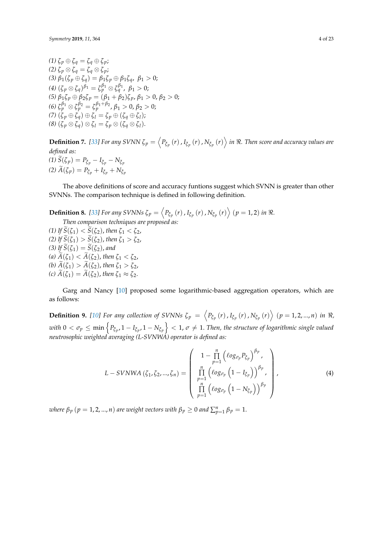*(1)*  $\zeta_p ⊕ \zeta_q = \zeta_q ⊕ \zeta_p;$ *(2)*  $\zeta_p \otimes \zeta_q = \zeta_q \otimes \zeta_p$ ; *(3)*  $β_1(\zeta_p \oplus \zeta_q) = β_1\zeta_p \oplus β_1\zeta_q$ ,  $β_1 > 0$ ;  $(4)$   $(\zeta_p \otimes \zeta_q)^{\beta_1} = \zeta_p^{\beta_1} \otimes \zeta_q^{\beta_1}$ ,  $\beta_1 > 0$ ; *(5)*  $β_1ζ_p ⊕ β_2ζ_p = (β_1 + β_2)ζ_p$ ,  $β_1 > 0$ ,  $β_2 > 0$ ; *(6)*  $\zeta_p^{\beta_1} \otimes \zeta_p^{\beta_2} = \zeta_p^{\beta_1+\beta_2}$ ,  $\beta_1 > 0$ ,  $\beta_2 > 0$ ;  $(7)$   $(\zeta_p \oplus \zeta_q) \oplus \zeta_l = \zeta_p \oplus (\zeta_q \oplus \zeta_l);$ *(8)*  $(\zeta_p \otimes \zeta_q) \otimes \zeta_l = \zeta_p \otimes (\zeta_q \otimes \zeta_l).$ 

**Definition 7.** [\[33\]](#page-21-5) For any SVNN  $\zeta_p = \left\langle P_{\xi_p}\left(r\right), I_{\xi_p}\left(r\right), N_{\xi_p}\left(r\right)\right\rangle$  in  $\Re$ . Then score and accuracy values are *defined as:*  $(1) \widetilde{S}(\zeta_p) = P_{\xi_p} - I_{\xi_p} - N_{\xi_p}$  $(2)$   $\widetilde{A}(\zeta_p) = P_{\zeta_p} + I_{\zeta_p} + N_{\zeta_p}$ 

The above definitions of score and accuracy funtions suggest which SVNN is greater than other SVNNs. The comparison technique is defined in following definition.

**Definition 8.** [\[33\]](#page-21-5) For any SVNNs  $\zeta_p = \left\langle P_{\xi_p}(r)$  ,  $I_{\xi_p}(r)$  ,  $N_{\xi_p}(r) \right\rangle$   $(p = 1, 2)$  in  $\Re$ .

*Then comparison techniques are proposed as: (1) If*  $\widetilde{S}(\zeta_1) < \widetilde{S}(\zeta_2)$ , *then*  $\zeta_1 < \zeta_2$ , *(2) If*  $\widetilde{S}(\zeta_1) > \widetilde{S}(\zeta_2)$ , *then*  $\zeta_1 > \zeta_2$ , *(3) If*  $\widetilde{S}(\zeta_1) = \widetilde{S}(\zeta_2)$ , and *(a)*  $\widetilde{A}(\zeta_1) < \widetilde{A}(\zeta_2)$ , *then*  $\zeta_1 < \zeta_2$ , *(b)*  $\widetilde{A}(\zeta_1) > \widetilde{A}(\zeta_2)$ , then  $\zeta_1 > \zeta_2$ , *(c)*  $\widetilde{A}(\zeta_1) = \widetilde{A}(\zeta_2)$ , *then*  $\zeta_1 \approx \zeta_2$ .

Garg and Nancy [\[10\]](#page-21-1) proposed some logarithmic-based aggregation operators, which are as follows:

**Definition 9.** [\[10\]](#page-21-1) For any collection of SVNNs  $\zeta_p = \langle P_{\xi_p}(r), I_{\xi_p}(r), N_{\xi_p}(r) \rangle$   $(p = 1, 2, ..., n)$  in  $\Re$ , with  $0<\sigma_p\leq\min\left\{P_{\xi_p},1-I_{\xi_p},1-N_{\xi_p}\right\}<1$ ,  $\sigma\neq1$ . Then, the structure of logarithmic single valued *neutrosophic weighted averaging (L-SVNWA) operator is defined as:*

$$
L-SVNWA(\zeta_1, \zeta_2, ..., \zeta_n) = \begin{pmatrix} 1 - \prod_{p=1}^n \left( \log_{\sigma_p} P_{\zeta_p} \right)^{\beta_p}, \\ \prod_{p=1}^n \left( \log_{\sigma_p} \left( 1 - I_{\zeta_p} \right) \right)^{\beta_p}, \\ \prod_{p=1}^n \left( \log_{\sigma_p} \left( 1 - N_{\zeta_p} \right) \right)^{\beta_p} \end{pmatrix},
$$
(4)

*where*  $\beta_p$   $(p = 1, 2, ..., n)$  *are weight vectors with*  $\beta_p \geq 0$  *and*  $\sum_{p=1}^{n} \beta_p = 1$ .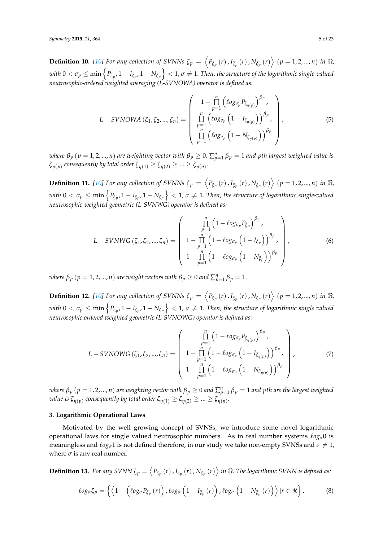**Definition 10.** [\[10\]](#page-21-1) For any collection of SVNNs  $\zeta_p = \left\langle P_{\xi_p}(r)$  ,  $I_{\xi_p}(r)$  ,  $N_{\xi_p}(r) \right\rangle$   $(p = 1, 2, ..., n)$  in  $\Re$ , with  $0<\sigma_p\leq\min\left\{P_{\xi_p}$ ,  $1-I_{\xi_p}$ ,  $1-N_{\xi_p}\right\}< 1$ ,  $\sigma\neq 1.$  *Then, the structure of the logarithmic single-valued neutrosophic-ordered weighted averaging (L-SVNOWA) operator is defined as:*

$$
L-SVNOWA(\zeta_1, \zeta_2, ..., \zeta_n) = \begin{pmatrix} 1 - \prod_{p=1}^n \left( \log_{\sigma_p} P_{\zeta_{\eta}(p)} \right)^{\beta_p}, \\ \prod_{p=1}^n \left( \log_{\sigma_p} \left( 1 - I_{\zeta_{\eta}(p)} \right) \right)^{\beta_p}, \\ \prod_{p=1}^n \left( \log_{\sigma_p} \left( 1 - N_{\zeta_{\eta}(p)} \right) \right)^{\beta_p} \end{pmatrix},
$$
(5)

 $\alpha$  *where*  $\beta_p$  $(p=1,2,...,n)$  *are weighting vector with*  $\beta_p\geq 0$ *,*  $\sum_{p=1}^n\beta_p=1$  *and*  $p$ *th largest weighted value is*  $\zeta_{\eta(p)}$  consequently by total order  $\zeta_{\eta(1)} \ge \zeta_{\eta(2)} \ge ... \ge \zeta_{\eta(n)}.$ 

**Definition 11.** [\[10\]](#page-21-1) For any collection of SVNNs  $\zeta_p = \left\langle P_{\xi_p}(r)$  ,  $I_{\xi_p}(r)$  ,  $N_{\xi_p}(r) \right\rangle$   $(p = 1, 2, ..., n)$  in  $\Re$ , with  $0<\sigma_p\leq\min\left\{P_{\xi_p},1-I_{\xi_p},1-N_{\xi_p}\right\}<1$ ,  $\sigma\neq1$ . Then, the structure of logarithmic single-valued *neutrosophic-weighted geometric (L-SVNWG) operator is defined as:*

$$
L-SVNWG(\zeta_1, \zeta_2, ..., \zeta_n) = \begin{pmatrix} \prod_{p=1}^n \left(1 - \ell o g_{\sigma_p} P_{\zeta_p}\right)^{\beta_p}, \\ 1 - \prod_{p=1}^n \left(1 - \ell o g_{\sigma_p} \left(1 - I_{\zeta_p}\right)\right)^{\beta_p}, \\ 1 - \prod_{p=1}^n \left(1 - \ell o g_{\sigma_p} \left(1 - N_{\zeta_p}\right)\right)^{\beta_p} \end{pmatrix},
$$
(6)

*where*  $\beta_p$   $(p = 1, 2, ..., n)$  *are weight vectors with*  $\beta_p \geq 0$  *and*  $\sum_{p=1}^{n} \beta_p = 1$ .

**Definition 12.** [\[10\]](#page-21-1) For any collection of SVNNs  $\zeta_p = \left\langle P_{\xi_p}(r)$  ,  $I_{\xi_p}(r)$  ,  $N_{\xi_p}(r) \right\rangle$   $(p = 1, 2, ..., n)$  in  $\Re$ , with  $0<\sigma_p\leq\min\left\{P_{\xi_p},1-I_{\xi_p},1-N_{\xi_p}\right\}<1$ ,  $\sigma\neq1$ . Then, the structure of logarithmic single valued *neutrosophic ordered weighted geometric (L-SVNOWG) operator is defined as:*

$$
L-SVNOWG(\zeta_1, \zeta_2, ..., \zeta_n) = \begin{pmatrix} \prod_{p=1}^n \left(1 - \ell o g_{\sigma_p} P_{\zeta_{\eta(p)}}\right)^{\beta_p}, \\ 1 - \prod_{p=1}^n \left(1 - \ell o g_{\sigma_p} \left(1 - I_{\zeta_{\eta(p)}}\right)\right)^{\beta_p}, \\ 1 - \prod_{p=1}^n \left(1 - \ell o g_{\sigma_p} \left(1 - N_{\zeta_{\eta(p)}}\right)\right)^{\beta_p} \end{pmatrix},
$$
(7)

 $p_p$   $(p = 1, 2, ..., n)$  *are weighting vector with*  $\beta_p \geq 0$  *and*  $\sum_{p=1}^n \beta_p = 1$  *and*  $p$ *th are the largest weighted value is*  $\zeta_{\eta(p)}$  consequently by total order  $\zeta_{\eta(1)} \ge \zeta_{\eta(2)} \ge ... \ge \zeta_{\eta(n)}.$ 

## <span id="page-4-0"></span>**3. Logarithmic Operational Laws**

Motivated by the well growing concept of SVNSs, we introduce some novel logarithmic operational laws for single valued neutrosophic numbers. As in real number systems `*ogσ*0 is meaningless and  $\ell_{OG}$ <sup>1</sup> is not defined therefore, in our study we take non-empty SVNSs and  $\sigma \neq 1$ , where  $\sigma$  is any real number.

**Definition 13.** For any SVNN  $\zeta_p = \left\langle P_{\xi_p} (r)$  ,  $I_{\xi_p} (r)$  ,  $N_{\xi_p} (r) \right\rangle$  in  $\Re$ . The logarithmic SVNN is defined as:

$$
\ell o g_{\sigma} \zeta_p = \left\{ \left\langle 1 - \left( \ell o g_{\sigma} P_{\xi_p} \left( r \right) \right), \ell o g_{\sigma} \left( 1 - I_{\xi_p} \left( r \right) \right), \ell o g_{\sigma} \left( 1 - N_{\xi_p} \left( r \right) \right) \right\rangle | r \in \Re \right\},\tag{8}
$$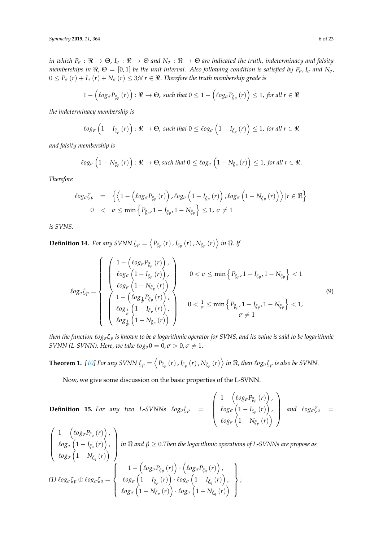*in which*  $P_{\sigma}: \Re \to \Theta$ ,  $I_{\sigma}: \Re \to \Theta$  and  $N_{\sigma}: \Re \to \Theta$  are indicated the truth, indeterminacy and falsity *memberships in*  $\Re$ ,  $\Theta = [0, 1]$  *be the unit interval. Also following condition is satisfied by*  $P_{\sigma}$ ,  $I_{\sigma}$  *and*  $N_{\sigma}$ ,  $0 \leq P_{\sigma}(r) + I_{\sigma}(r) + N_{\sigma}(r) \leq 3$ ; $\forall r \in \mathbb{R}$ . Therefore the truth membership grade is

$$
1 - \left(\ell o g_{\sigma} P_{\xi_p}(r)\right) : \Re \to \Theta, \text{ such that } 0 \leq 1 - \left(\ell o g_{\sigma} P_{\xi_p}(r)\right) \leq 1, \text{ for all } r \in \Re
$$

*the indeterminacy membership is*

$$
\ell o g_{\sigma} \left(1-I_{\xi_p}(r)\right) : \Re \to \Theta, \text{ such that } 0 \leq \ell o g_{\sigma} \left(1-I_{\xi_p}(r)\right) \leq 1, \text{ for all } r \in \Re
$$

*and falsity membership is*

$$
\ell o g_{\sigma}\left(1-N_{\xi_p}(r)\right):\Re\to\Theta, \text{such that }0\leq \ell o g_{\sigma}\left(1-N_{\xi_p}(r)\right)\leq 1, \text{ for all }r\in\Re.
$$

*Therefore*

$$
\begin{array}{rcl}\n\ell \circ \mathcal{G}_{\sigma} \zeta_{p} & = & \left\{ \left\langle 1 - \left( \ell \circ \mathcal{G}_{\sigma} P_{\xi_{p}} \left( r \right) \right), \ell \circ \mathcal{G}_{\sigma} \left( 1 - I_{\xi_{p}} \left( r \right) \right), \ell \circ \mathcal{G}_{\sigma} \left( 1 - N_{\xi_{p}} \left( r \right) \right) \right\rangle \middle| r \in \Re \right\} \\
0 & < & \sigma \leq \min \left\{ P_{\xi_{p}}, 1 - I_{\xi_{p}}, 1 - N_{\xi_{p}} \right\} \leq 1, \ \sigma \neq 1\n\end{array}
$$

*is SVNS.*

**Definition 14.** *For any SVNN*  $\zeta_p = \left\langle P_{\xi_p}\left(r\right), I_{\xi_p}\left(r\right), N_{\xi_p}\left(r\right) \right\rangle$  *in*  $\Re$ *. If* 

$$
\ell_{\mathcal{O}g\sigma\zeta p} = \left\{\begin{array}{l}\left(\begin{array}{c}1-\left(\ell_{\mathcal{O}g\sigma}P_{\zeta p}\left(r\right)\right),\\ \ell_{\mathcal{O}g\sigma}\left(1-I_{\zeta p}\left(r\right)\right),\\ \ell_{\mathcal{O}g\sigma}\left(1-N_{\zeta p}\left(r\right)\right)\end{array}\right)\\ \left(\begin{array}{c}1-\left(\ell_{\mathcal{O}g\sigma}\left(1-N_{\zeta p}\left(r\right)\right)\end{array}\right)\\ \left(\begin{array}{c}1-\left(\ell_{\mathcal{O}g\sigma}\left(1-N_{\zeta p}\left(r\right)\right)\end{array}\right)\\ \left(\begin{array}{c}1-\left(\ell_{\mathcal{O}g\sigma}\left(1-N_{\zeta p}\left(r\right)\right)\end{array}\right)\\ \left(\begin{array}{c}1-\left(\ell_{\mathcal{O}g\sigma}\left(1-N_{\zeta p}\left(r\right)\right)\end{array}\right)\\ \left(\begin{array}{c}0<\frac{1}{\sigma}\leq\min\left\{P_{\zeta p},1-I_{\zeta p},1-N_{\zeta p}\right\}<1,\\ \sigma\neq1\end{array}\right)\end{array}\right.\tag{9}
$$

*then the function*  $\log_{\sigma} \zeta_p$  *is known to be a logarithmic operator for SVNS, and its value is said to be logarithmic SVNN (L-SVNN). Here, we take*  $\ell \circ g_{\sigma} 0 = 0$ *,*  $\sigma > 0$ *,*  $\sigma \neq 1$ *.* 

**Theorem 1.** [\[10\]](#page-21-1) For any SVNN  $\zeta_p=\left\langle P_{\tilde{\zeta}_p}\left(r\right),I_{\tilde{\zeta}_p}\left(r\right),N_{\tilde{\zeta}_p}\left(r\right)\right\rangle$  in  $\Re$ , then  $\ell$ og $_\sigma\zeta_p$  is also be SVNN.

Now, we give some discussion on the basic properties of the L-SVNN.

**Definition 15.** For any two L-SVNNs  $log_{\sigma} \zeta_p$  =  $\sqrt{ }$  $\overline{\phantom{a}}$  $1 - \left( \ell o g_{\sigma} P_{\xi_p} \left( r \right) \right)$  ,  $\ell$ og<sub> $\sigma$ </sub>  $\left(1 - I_{\xi_p}(r)\right)$  ,  $\ell$ *og<sub><i>σ*</sub>  $\left(1 - N_{\xi_p}(r)\right)$  $\setminus$ *and*  $\ell$ *og<sub><i>σ</sub>ζ*<sub>*q*</sub> =</sub>  $\sqrt{ }$  $\overline{\phantom{a}}$  $1 - \left( \ell o g_\sigma P_{\xi_q}\left(r\right) \right)$  ,  $\ell$ οg $_{\sigma}$   $\left( 1 - I_{\xi_q}\left( r\right) \right)$  ,  $\ell$ *og<sub><i>σ*</sub>  $\left(1 - N_{\xi_q}(r)\right)$  $\setminus$ *in*  $\Re$  *and*  $\beta \ge 0$ . *Then the logarithmic operations of L-SVNNs are propose as*  $(1)$   $log_σ$ ζ $_p$  ⊕  $log_σ$ ζ $_q$  =  $\sqrt{ }$  $\int$  $\overline{\mathcal{L}}$  $1 - \left( \ell o g_{\sigma} P_{\xi_p} \left( r \right) \right) \cdot \left( \ell o g_{\sigma} P_{\xi_q} \left( r \right) \right)$  ,  $\ell$ οg $_{\sigma}$   $\left(1-I_{\tilde{\zeta}_{p}}\left(r\right)\right)\cdot\ell$ οg $_{\sigma}\left(1-I_{\tilde{\zeta}_{q}}\left(r\right)\right)$  ,  $\ell$ *og<sub>σ</sub>*  $\left(1 - N_{\xi_p}(r)\right) \cdot \ell$ *og<sub>σ</sub>*  $\left(1 - N_{\xi_q}(r)\right)$  $\mathcal{L}$  $\overline{\mathcal{L}}$  $\int$ ;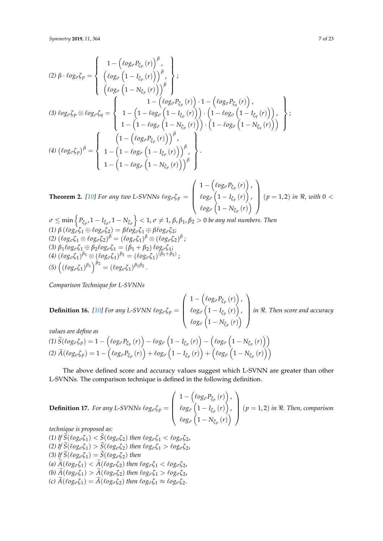$$
(2) \beta \cdot \log_{\sigma} \zeta_{p} = \begin{cases} 1 - (\ell \log_{\sigma} P_{\zeta_{p}}(r))^{\beta}, \\ (\ell \log_{\sigma} (1 - I_{\zeta_{p}}(r)))^{\beta}, \\ (\ell \log_{\sigma} (1 - N_{\zeta_{p}}(r)))^{\beta} \end{cases};
$$
  
\n
$$
(3) \log_{\sigma} \zeta_{p} \otimes \log_{\sigma} \zeta_{q} = \begin{cases} 1 - (\ell \log_{\sigma} P_{\zeta_{p}}(r)) \cdot 1 - (\ell \log_{\sigma} P_{\zeta_{q}}(r)) , \\ 1 - (1 - \ell \log_{\sigma} (1 - I_{\zeta_{p}}(r))) \cdot (1 - \ell \log_{\sigma} (1 - I_{\zeta_{q}}(r)) ) \\ 1 - (1 - \ell \log_{\sigma} (1 - N_{\zeta_{p}}(r)))^{\beta}, \\ (1 - (\ell \log_{\sigma} P_{\zeta_{p}}(r)))^{\beta}, \\ 1 - (1 - \ell \log_{\sigma} (1 - I_{\zeta_{p}}(r)))^{\beta} \end{cases};
$$
  
\n
$$
(4) (\ell \log_{\sigma} \zeta_{p})^{\beta} = \begin{cases} (1 - (\ell \log_{\sigma} P_{\zeta_{p}}(r)))^{\beta}, \\ 1 - (1 - \ell \log_{\sigma} (1 - I_{\zeta_{p}}(r)))^{\beta}, \\ 1 - (1 - \ell \log_{\sigma} (1 - N_{\zeta_{p}}(r)))^{\beta} \end{cases}.
$$

**Theorem 2.** [\[10\]](#page-21-1) For any two L-SVNNs  $\ell o g_{\sigma} \zeta_{p} =$  $\overline{\phantom{a}}$  $1 - \left( \ell o g_\sigma P_{\xi_p} \left( r \right) \right)$  ,  $\ell$ οg<sub>σ</sub>  $\left(1 - I_{\xi_p}\left(r\right)\right)$  ,  $\ell$ *og<sub><i>σ*</sub>  $\left(1 - N_{\xi_p}(r)\right)$  $\binom{p = 1, 2}{{\text{in } \Re}}$ , with 0 <

$$
\sigma \le \min \left\{ P_{\xi_p}, 1 - I_{\xi_p}, 1 - N_{\xi_p} \right\} < 1, \sigma \ne 1, \beta, \beta_1, \beta_2 > 0 \text{ be any real numbers. Then}
$$
\n
$$
(1) \beta \left( \log_{\sigma} \zeta_1 \oplus \log_{\sigma} \zeta_2 \right) = \beta \log_{\sigma} \zeta_1 \oplus \beta \log_{\sigma} \zeta_2;
$$
\n
$$
(2) \left( \log_{\sigma} \zeta_1 \otimes \log_{\sigma} \zeta_2 \right)^{\beta} = \left( \log_{\sigma} \zeta_1 \right)^{\beta} \otimes \left( \log_{\sigma} \zeta_2 \right)^{\beta};
$$
\n
$$
(3) \beta_1 \log_{\sigma} \zeta_1 \oplus \beta_2 \log_{\sigma} \zeta_1 = (\beta_1 + \beta_2) \log_{\sigma} \zeta_1;
$$
\n
$$
(4) \left( \log_{\sigma} \zeta_1 \right)^{\beta_1} \otimes \left( \log_{\sigma} \zeta_1 \right)^{\beta_2} = \left( \log_{\sigma} \zeta_1 \right)^{(\beta_1 + \beta_2)};
$$
\n
$$
(5) \left( \left( \log_{\sigma} \zeta_1 \right)^{\beta_1} \right)^{\beta_2} = \left( \log_{\sigma} \zeta_1 \right)^{\beta_1 \beta_2}.
$$

*Comparison Technique for L-SVNNs*

**Definition 16.** [10] For any L-SVNN 
$$
\ell o g_{\sigma} \zeta_p = \begin{pmatrix} 1 - (\ell o g_{\sigma} P_{\zeta_p}(r)) \\ \ell o g_{\sigma} (1 - I_{\zeta_p}(r)) \\ \ell o g_{\sigma} (1 - N_{\zeta_p}(r)) \end{pmatrix}
$$
 in R. Then score and accuracy

*values are define as*

(1) 
$$
\tilde{S}(\ell o g_{\sigma} \zeta_p) = 1 - (\ell o g_{\sigma} P_{\zeta_p}(r)) - \ell o g_{\sigma} (1 - I_{\zeta_p}(r)) - (\ell o g_{\sigma} (1 - N_{\zeta_p}(r)))
$$
  
\n(2)  $\tilde{A}(\ell o g_{\sigma} \zeta_p) = 1 - (\ell o g_{\sigma} P_{\zeta_p}(r)) + \ell o g_{\sigma} (1 - I_{\zeta_p}(r)) + (\ell o g_{\sigma} (1 - N_{\zeta_p}(r)))$ 

The above defined score and accuracy values suggest which L-SVNN are greater than other L-SVNNs. The comparison technique is defined in the following definition.

**Definition 17.** For any L-SVNNs 
$$
\log_{\sigma} \zeta_p = \begin{pmatrix} 1 - (\log_{\sigma} P_{\zeta_p}(r)) \\ \log_{\sigma} (1 - I_{\zeta_p}(r)) \\ \log_{\sigma} (1 - N_{\zeta_p}(r)) \end{pmatrix}
$$
  $(p = 1, 2)$  in R. Then, comparison  
technique is removed as:

*technique is proposed as:*

 $(1)$  If  $\dot{S}(\ell \circ g_{\sigma} \zeta_1) < \tilde{S}(\ell \circ g_{\sigma} \zeta_2)$  *then*  $\ell \circ g_{\sigma} \zeta_1 < \ell \circ g_{\sigma} \zeta_2$ ,  $(2)$  If  $\widetilde{S}(\ell \circ g_{\sigma} \zeta_1) > \widetilde{S}(\ell \circ g_{\sigma} \zeta_2)$  *then*  $\ell \circ g_{\sigma} \zeta_1 > \ell \circ g_{\sigma} \zeta_2$ , (3) If  $\widetilde{S}(\ell \circ g_{\sigma} \zeta_1) = \widetilde{S}(\ell \circ g_{\sigma} \zeta_2)$  then  $($ a)  $\widetilde{A}(\ell o g_{\sigma} \zeta_1) < \widetilde{A}(\ell o g_{\sigma} \zeta_2)$  *then*  $\ell o g_{\sigma} \zeta_1 < \ell o g_{\sigma} \zeta_2$ ,  $\widetilde{A}(\ell \circ g_{\sigma} \zeta_1) > \widetilde{A}(\ell \circ g_{\sigma} \zeta_2)$  *then*  $\ell \circ g_{\sigma} \zeta_1 > \ell \circ g_{\sigma} \zeta_2$ ,  $\widetilde{A}(\ell \circ g_{\sigma} \zeta_1) = \widetilde{A}(\ell \circ g_{\sigma} \zeta_2)$  *then*  $\ell \circ g_{\sigma} \zeta_1 \approx \ell \circ g_{\sigma} \zeta_2$ .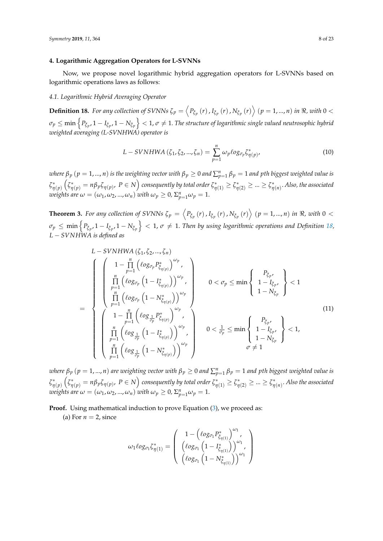## <span id="page-7-0"></span>**4. Logarithmic Aggregation Operators for L-SVNNs**

Now, we propose novel logarithmic hybrid aggregation operators for L-SVNNs based on logarithmic operations laws as follows:

#### *4.1. Logarithmic Hybrid Averaging Operator*

<span id="page-7-1"></span>**Definition 18.** For any collection of SVNNs  $\zeta_p = \left\langle P_{\xi_p}(r)$  ,  $I_{\xi_p}(r)$  ,  $N_{\xi_p}(r) \right\rangle$   $(p = 1, ..., n)$  in  $\Re$ , with  $0 <$  $\sigma_p\leq\min\left\{P_{\xi_p},1-I_{\xi_p},1-N_{\xi_p}\right\}< 1$ ,  $\sigma\neq 1.$  The structure of logarithmic single valued neutrosophic hybrid *weighted averaging (L-SVNHWA) operator is*

$$
L-SVNHWA (\zeta_1, \zeta_2, ..., \zeta_n) = \sum_{p=1}^n \omega_p \ell o g_{\sigma_p} \zeta_{\eta(p)}^* \qquad (10)
$$

where  $\beta_p$   $(p=1,...,n)$  is the weighting vector with  $\beta_p\geq 0$  and  $\sum_{p=1}^n\beta_p=1$  and pth biggest weighted value is *ζ* ∗ *η*(*p*)  $\left(\zeta_{\eta(p)}^*=\eta\beta_p\zeta_{\eta(p)},\ P\in N\right)$  consequently by total order  $\zeta_{\eta(1)}^*\geq\zeta_{\eta(2)}^*\geq...\geq\zeta_{\eta(n)}^*$ . Also, the associated *weights are*  $\omega = (\omega_1, \omega_2, ..., \omega_n)$  *with*  $\omega_p \geq 0$ ,  $\Sigma_{p=1}^n \omega_p = 1$ .

<span id="page-7-2"></span>**Theorem 3.** For any collection of SVNNs  $\zeta_p = \left\langle P_{\xi_p}(r)$  ,  $I_{\xi_p}(r)$  ,  $N_{\xi_p}(r) \right\rangle$   $(p = 1, ..., n)$  in  $\Re$ , with  $0 <$  $\sigma_p\leq\min\left\{P_{\xi_p},1-I_{\xi_p},1-N_{\xi_p}\right\}< 1$ ,  $\sigma\neq 1$ . Then by using logarithmic operations and Definition [18,](#page-7-1) *L* − *SVNHWA is defined as*

$$
L-SVNHWA (\zeta_1, \zeta_2, ..., \zeta_n)
$$
\n
$$
\begin{pmatrix}\n1 - \prod_{p=1}^{n} (\ell_{0g_{\sigma_p}} P_{\zeta_{\eta(p)}}^*)^{\omega_p} \\
\prod_{p=1}^{n} (\ell_{0g_{\sigma_p}} (1 - I_{\zeta_{\eta(p)}}^*))^{\omega_p} \\
\prod_{p=1}^{n} (\ell_{0g_{\sigma_p}} (1 - N_{\zeta_{\eta(p)}}^*))^{\omega_p} \\
\prod_{p=1}^{n} (\ell_{0g_{\sigma_p}} (1 - N_{\zeta_{\eta(p)}}^*))^{\omega_p} \\
\prod_{p=1}^{n} (\ell_{0g_{\frac{1}{\sigma_p}} P_{\zeta_{\eta(p)}}^*)^{\omega_p} \\
\prod_{p=1}^{n} (\ell_{0g_{\frac{1}{\sigma_p}} (1 - I_{\zeta_{\eta(p)}}^*))^{\omega_p}} \\
\prod_{p=1}^{n} (\ell_{0g_{\frac{1}{\sigma_p}} (1 - N_{\zeta_{\eta(p)}}^*))^{\omega_p}}\n\end{pmatrix}
$$
\n
$$
0 < \frac{1}{\sigma_p} \leq \min \left\{\n\begin{array}{c}\nP_{\zeta_p}, \\
1 - I_{\zeta_p}, \\
1 - I_{\zeta_p}, \\
1 - N_{\zeta_p}\n\end{array}\n\right\} < 1,
$$
\n
$$
\sigma \neq 1
$$
\n(11)

 $\alpha$  *where*  $\beta_p$  $(p=1,...,n)$  *are weighting vector with*  $\beta_p\geq 0$  *and*  $\sum_{p=1}^n\beta_p=1$  *and*  $p$ *th biggest weighted value is ζ* ∗ *η*(*p*)  $\left(\zeta_{\eta(p)}^*=\eta\beta_p\zeta_{\eta(p)},\ P\in N\right)$  consequently by total order  $\zeta_{\eta(1)}^*\geq\zeta_{\eta(2)}^*\geq...\geq\zeta_{\eta(n)}^*$ . Also the associated *weights are*  $\omega = (\omega_1, \omega_2, ..., \omega_n)$  *<i>with*  $\omega_p \geq 0$ ,  $\Sigma_{p=1}^n \omega_p = 1$ .

**Proof.** Using mathematical induction to prove Equation [\(3\)](#page-7-2), we proceed as:

(a) For  $n = 2$ , since

$$
\omega_1 \ell o g_{\sigma_1} \zeta_{\eta(1)}^* = \left(\begin{array}{c} 1 - \left(\ell o g_{\sigma_1} P_{\tilde{\zeta}_{\eta(1)}}^*\right)^{\omega_1}, \\ \left(\ell o g_{\sigma_1} \left(1 - I_{\tilde{\zeta}_{\eta(1)}}^*\right)\right)^{\omega_1}, \\ \left(\ell o g_{\sigma_1} \left(1 - N_{\tilde{\zeta}_{\eta(1)}}^*\right)\right)^{\omega_1} \end{array}\right)
$$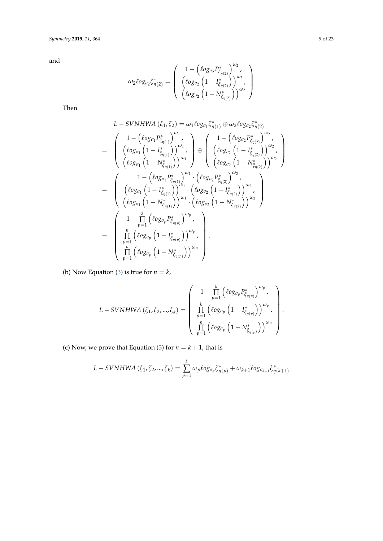and

$$
\omega_2 \ell o g_{\sigma_2} \zeta_{\eta(2)}^* = \left( \begin{array}{c} 1 - \left( \ell o g_{\sigma_2} P_{\xi_{\eta(2)}}^* \right)^{\omega_2}, \\ \left( \ell o g_{\sigma_2} \left( 1 - I_{\xi_{\eta(2)}}^* \right) \right)^{\omega_2}, \\ \left( \ell o g_{\sigma_2} \left( 1 - N_{\xi_{\eta(2)}}^* \right) \right)^{\omega_2} \end{array} \right)
$$

Then

$$
L-SVMHWA (\zeta_{1}, \zeta_{2}) = \omega_{1} \log_{\sigma_{1}} \zeta_{\eta(1)}^{*} \oplus \omega_{2} \log_{\sigma_{2}} \zeta_{\eta(2)}^{*}
$$
\n
$$
= \begin{pmatrix}\n1 - (\log_{\sigma_{1}} P_{\zeta_{\eta(1)}}^{*})^{\omega_{1}} \\
(\log_{\sigma_{1}} (1 - I_{\zeta_{\eta(1)}}^{*}))^{\omega_{1}} \\
(\log_{\sigma_{1}} (1 - N_{\zeta_{\eta(1)}}^{*}))^{\omega_{1}}\n\end{pmatrix} \oplus \begin{pmatrix}\n1 - (\log_{\sigma_{2}} P_{\zeta_{\eta(2)}}^{*})^{\omega_{2}} \\
(\log_{\sigma_{2}} (1 - I_{\zeta_{\eta(2)}}^{*}))^{\omega_{2}} \\
(\log_{\sigma_{2}} (1 - N_{\zeta_{\eta(2)}}^{*}))^{\omega_{2}}\n\end{pmatrix}
$$
\n
$$
= \begin{pmatrix}\n1 - (\log_{\sigma_{1}} P_{\zeta_{\eta(1)}}^{*})^{\omega_{1}} \cdot (\log_{\sigma_{2}} P_{\zeta_{\eta(2)}}^{*})^{\omega_{2}} \\
(\log_{\sigma_{1}} (1 - N_{\zeta_{\eta(1)}}^{*}))^{\omega_{1}} \cdot (\log_{\sigma_{2}} (1 - I_{\zeta_{\eta(2)}}^{*}))^{\omega_{2}} \\
(\log_{\sigma_{1}} (1 - N_{\zeta_{\eta(1)}}^{*}))^{\omega_{1}} \cdot (\log_{\sigma_{2}} (1 - N_{\zeta_{\eta(2)}}^{*}))^{\omega_{2}}\n\end{pmatrix}
$$
\n
$$
= \begin{pmatrix}\n1 - \prod_{p=1}^{2} (\log_{\sigma_{p}} P_{\zeta_{\eta(p)}}^{*})^{\omega_{p}} \\
\prod_{p=1}^{n} (\log_{\sigma_{p}} (1 - I_{\zeta_{\eta(p)}}^{*}))^{\omega_{p}} \\
\prod_{p=1}^{n} (\log_{\sigma_{p}} (1 - N_{\zeta_{\eta(p)}}^{*}))^{\omega_{p}}\n\end{pmatrix}.
$$

(b) Now Equation [\(3\)](#page-7-2) is true for  $n = k$ ,

$$
L-SVNHWA(\zeta_1, \zeta_2, ..., \zeta_k) = \left(\begin{array}{c} 1 - \prod\limits_{p=1}^k \left(\ell_{0}g_{\sigma_p}P_{\zeta_{\eta(p)}}^*\right)^{\omega_p}, \\ \prod\limits_{p=1}^k \left(\ell_{0}g_{\sigma_p}\left(1 - I_{\zeta_{\eta(p)}}^*\right)\right)^{\omega_p}, \\ \prod\limits_{p=1}^k \left(\ell_{0}g_{\sigma_p}\left(1 - N_{\zeta_{\eta(p)}}^*\right)\right)^{\omega_p} \end{array}\right).
$$

(c) Now, we prove that Equation [\(3\)](#page-7-2) for  $n = k + 1$ , that is

$$
L-SVNHWA (\zeta_1, \zeta_2, ..., \zeta_k) = \sum_{p=1}^k \omega_p \ell o g_{\sigma_p} \zeta_{\eta(p)}^* + \omega_{k+1} \ell o g_{\sigma_{k+1}} \zeta_{\eta(k+1)}^*
$$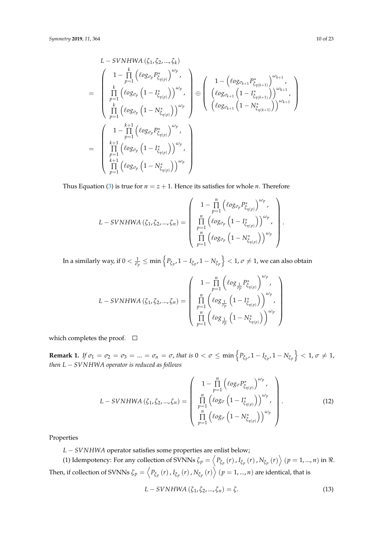$$
L-SVNHWA (\zeta_1, \zeta_2, ..., \zeta_k)
$$
\n
$$
= \begin{pmatrix}\n1 - \prod_{p=1}^k (\ell_{0}g_{\sigma_p} P_{\zeta_{\eta(p)}}^*)^{\omega_p} \\
\prod_{p=1}^k (\ell_{0}g_{\sigma_p} (1 - I_{\zeta_{\eta(p)}}^*)^{\omega_p} \\
\prod_{p=1}^k (\ell_{0}g_{\sigma_p} (1 - N_{\zeta_{\eta(p)}}^*)^{\omega_p} \\
\prod_{p=1}^k (\ell_{0}g_{\sigma_p} (1 - N_{\zeta_{\eta(p)}}^*)^{\omega_p} \\
\prod_{p=1}^{k+1} (\ell_{0}g_{\sigma_p} P_{\zeta_{\eta(p)}}^*)^{\omega_p} \\
\prod_{p=1}^{k+1} (\ell_{0}g_{\sigma_p} (1 - I_{\zeta_{\eta(p)}}^*)^{\omega_p} \\
\prod_{p=1}^{k+1} (\ell_{0}g_{\sigma_p} (1 - I_{\zeta_{\eta(p)}}^*)^{\omega_p} \\
\prod_{p=1}^{k+1} (\ell_{0}g_{\sigma_p} (1 - N_{\zeta_{\eta(p)}}^*)^{\omega_p} \\
\prod_{p=1}^{k+1} (\ell_{0}g_{\sigma_p} (1 - N_{\zeta_{\eta(p)}}^*)^{\omega_p} \\
\end{pmatrix}
$$

Thus Equation [\(3\)](#page-7-2) is true for  $n = z + 1$ . Hence its satisfies for whole *n*. Therefore

$$
L-SVNHWA(\zeta_1, \zeta_2, ..., \zeta_n) = \begin{pmatrix} 1 - \prod_{p=1}^n (\ell_{0g_{\sigma_p}} P_{\tilde{\zeta}_{\eta(p)}}^*)^{\omega_p}, \\ \prod_{p=1}^n (\ell_{0g_{\sigma_p}} (1 - I_{\tilde{\zeta}_{\eta(p)}}^*)^{\omega_p}, \\ \prod_{p=1}^n (\ell_{0g_{\sigma_p}} (1 - N_{\tilde{\zeta}_{\eta(p)}}^*)^{\omega_p}) \end{pmatrix}
$$

In a similarly way, if  $0<\frac{1}{\sigma_p}\leq\min\left\{P_{\xi_p},1-I_{\xi_p},1-N_{\xi_p}\right\}<1$ ,  $\sigma\neq1$ , we can also obtain

$$
L-SVNHWA\left(\zeta_{1},\zeta_{2},...,\zeta_{n}\right)=\left(\begin{array}{c}1-\prod\limits_{p=1}^{n}\left(\ell og_{\frac{1}{\sigma_{p}}}P_{\tilde{\zeta}_{\eta(p)}}^{*}\right)^{\omega_{p}},\\ \prod\limits_{p=1}^{n}\left(\ell og_{\frac{1}{\sigma_{p}}}\left(1-I_{\tilde{\zeta}_{\eta(p)}}^{*}\right)\right)^{\omega_{p}},\\ \prod\limits_{p=1}^{n}\left(\ell og_{\frac{1}{\sigma_{p}}}\left(1-N_{\tilde{\zeta}_{\eta(p)}}^{*}\right)\right)^{\omega_{p}}\end{array}\right)
$$

which completes the proof.  $\square$ 

**Remark 1.** If  $\sigma_1 = \sigma_2 = \sigma_3 = ... = \sigma_n = \sigma$ , that is  $0 < \sigma \le \min\left\{P_{\xi_{p'}} 1 - I_{\xi_{p'}} 1 - N_{\xi_p}\right\} < 1$ ,  $\sigma \ne 1$ , *then L* − *SVNHWA operator is reduced as follows*

$$
L-SVNHWA(\zeta_1, \zeta_2, ..., \zeta_n) = \begin{pmatrix} 1 - \prod_{p=1}^n \left( \log_{\sigma} P_{\tilde{\zeta}_{\eta(p)}}^* \right)^{\omega_p}, \\ \prod_{p=1}^n \left( \log_{\sigma} \left( 1 - I_{\tilde{\zeta}_{\eta(p)}}^* \right) \right)^{\omega_p}, \\ \prod_{p=1}^n \left( \log_{\sigma} \left( 1 - N_{\tilde{\zeta}_{\eta(p)}}^* \right) \right)^{\omega_p} \end{pmatrix}.
$$
 (12)

Properties

*L* − *SVNHWA* operator satisfies some properties are enlist below;

(1) Idempotency: For any collection of SVNNs  $\zeta_p = \left\langle P_{\tilde{\zeta}_p}\left(r\right), I_{\tilde{\zeta}_p}\left(r\right), N_{\tilde{\zeta}_p}\left(r\right) \right\rangle$   $(p = 1, ..., n)$  in  $\Re$ . Then, if collection of SVNNs  $\zeta_p=\left ,  $I_{\tilde\zeta_p}\left(r\right)$  ,  $N_{\tilde\zeta_p}\left(r\right)\right\}\left(p=1,...,n\right)$  are identical, that is$ 

$$
L-SVNHWA (\zeta_1, \zeta_2, ..., \zeta_n) = \zeta.
$$
 (13)

.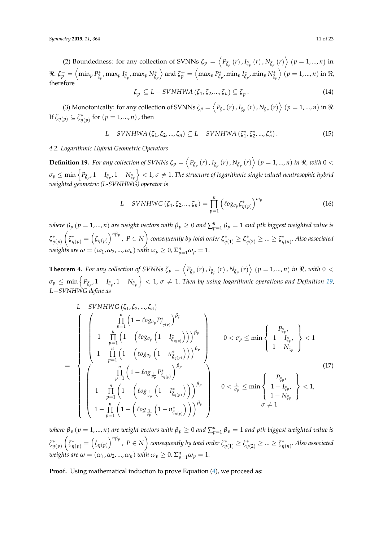(2) Boundedness: for any collection of SVNNs  $\zeta_p = \left\langle P_{\xi_p}(r)$  ,  $I_{\xi_p}(r)$  ,  $N_{\xi_p}(r) \right\rangle$   $(p = 1, ..., n)$  in  $\Re.~$   $\zeta_p^- = \Bigl< \min_p P_{\tilde{\zeta}_p}^* \Bigr.$ *ξ p* , max*<sup>p</sup> I* ∗  $\left\langle \xi_p^*, \max_p N_{\xi_p}^* \right\rangle$  and  $\zeta_p^+ = \left\langle \max_p P_{\xi_p}^* \right\rangle$ *ξ p* , min*<sup>p</sup> I* ∗  $\left\langle \xi_p^*, \min_p N_{\xi_p}^* \right\rangle$   $(p = 1, ..., n)$  in  $\Re,$ therefore

$$
\zeta_p^- \subseteq L - SVNHWA\left(\zeta_1, \zeta_2, ..., \zeta_n\right) \subseteq \zeta_p^+.
$$
\n(14)

(3) Monotonically: for any collection of SVNNs  $\zeta_p = \left\langle P_{\xi_p}(r)$  ,  $I_{\xi_p}(r)$  ,  $N_{\xi_p}(r) \right\rangle$   $(p = 1, ..., n)$  in  $\Re$ . If  $\zeta_{\eta(p)} \subseteq \zeta_{\eta(p)}^{*}$  for  $(p = 1, ..., n)$  , then

$$
L-SVNHWA (\zeta_1, \zeta_2, ..., \zeta_n) \subseteq L-SVNHWA (\zeta_1^*, \zeta_2^*, ..., \zeta_n^*).
$$
 (15)

## *4.2. Logarithmic Hybrid Geometric Operators*

<span id="page-10-0"></span>**Definition 19.** For any collection of SVNNs  $\zeta_p = \left\langle P_{\xi_p}(r)$  ,  $I_{\xi_p}(r)$  ,  $N_{\xi_p}(r) \right\rangle$   $(p = 1, ..., n)$  in  $\Re$ , with  $0 <$  $\sigma_p\leq\min\left\{P_{\xi_p},1-P_{\xi_p},1-N_{\xi_p}\right\}< 1$ ,  $\sigma\neq 1.$  The structure of logarithmic single valued neutrosophic hybrid *weighted geometric (L-SVNHWG) operator is*

$$
L-SVNHWG(\zeta_1, \zeta_2, ..., \zeta_n) = \prod_{p=1}^n (log_{\sigma_p} \zeta_{\eta(p)}^*)^{\omega_p}
$$
(16)

 $\alpha$  *where*  $\beta_p$  $(p=1,...,n)$  *are weight vectors with*  $\beta_p\geq 0$  *and*  $\sum_{p=1}^n\beta_p=1$  *and*  $p$ *th biggest weighted value is ζ* ∗ *η*(*p*)  $\sqrt{2}$  $\zeta^*_{\eta(p)}=\left(\zeta_{\eta(p)}\right)^{n\beta_p}$  ,  $P\in N\Big)$  consequently by total order  $\zeta^*_{\eta(1)}\geq \zeta^*_{\eta(2)}\geq ...\geq \zeta^*_{\eta(n)}.$  Also associated *weights are*  $\omega = (\omega_1, \omega_2, ..., \omega_n)$  *with*  $\omega_p \geq 0$ ,  $\Sigma_{p=1}^n \omega_p = 1$ .

<span id="page-10-1"></span>**Theorem 4.** For any collection of SVNNs  $\zeta_p = \left\langle P_{\xi_p}(r)$  ,  $I_{\xi_p}(r)$  ,  $N_{\xi_p}(r) \right\rangle$   $(p = 1, ..., n)$  in  $\Re$ , with  $0 <$  $\sigma_p\leq\min\left\{P_{\xi_p},1-I_{\xi_p},1-N_{\xi_p}\right\}< 1$ ,  $\sigma\neq 1.$  Then by using logarithmic operations and Definition [19,](#page-10-0) *L*−*SVNHWG define as*

$$
L = SVNHWG(\zeta_{1}, \zeta_{2}, ..., \zeta_{n})
$$
\n
$$
= \begin{cases}\n\left(\begin{array}{c}\n\prod_{p=1}^{n} (1 - \ell \circ g_{\sigma_{p}} P_{\zeta_{\eta(p)}}^{*})^{\beta_{p}} \\
1 - \prod_{p=1}^{n} (1 - (\ell \circ g_{\sigma_{p}} (1 - I_{\zeta_{\eta(p)}}^{*})))^{\beta_{p}} \\
1 - \prod_{p=1}^{n} (1 - (\ell \circ g_{\sigma_{p}} (1 - n_{\zeta_{\eta(p)}}^{*})))^{\beta_{p}}\n\end{array}\right) & 0 < \sigma_{p} \le \min\left\{\begin{array}{c}\nP_{\zeta_{p}} \\
1 - I_{\zeta_{p}} \\
1 - N_{\zeta_{p}}\n\end{array}\right\} < 1 \\
+ \prod_{p=1}^{n} (1 - (\ell \circ g_{\frac{1}{\sigma_{p}}} P_{\zeta_{\eta(p)}}^{*})^{B_{p}} \\
1 - \prod_{p=1}^{n} (1 - (\ell \circ g_{\frac{1}{\sigma_{p}}} (1 - I_{\zeta_{\eta(p)}}^{*})))^{\beta_{p}}\right) & 0 < \frac{1}{\sigma_{p}} \le \min\left\{\begin{array}{c}\nP_{\zeta_{p}} \\
1 - I_{\zeta_{p}} \\
1 - N_{\zeta_{p}}\n\end{array}\right\} < 1,\n\left(1 - \left(\ell \circ g_{\frac{1}{\sigma_{p}}} (1 - n_{\zeta_{\eta(p)}}^{*})\right)\right)^{\beta_{p}} < \frac{1}{\sigma \neq 1}\n\end{cases}
$$
\n(17)

 $\alpha$  *where*  $\beta_p$  $(p=1,...,n)$  *are weight vectors with*  $\beta_p\geq 0$  *and*  $\sum_{p=1}^n\beta_p=1$  *and*  $p$ *th biggest weighted value is ζ* ∗ *η*(*p*)  $\sqrt{2}$  $\zeta^*_{\eta(p)}=\left(\zeta_{\eta(p)}\right)^{n\beta_p}$  ,  $\,P\in N\Big)$  consequently by total order  $\zeta^*_{\eta(1)}\geq \zeta^*_{\eta(2)}\geq ...\geq \zeta^*_{\eta(n)}.$  Also associated *weights are*  $\omega = (\omega_1, \omega_2, ..., \omega_n)$  *with*  $\omega_p \geq 0$ ,  $\Sigma_{p=1}^n \omega_p = 1$ .

**Proof.** Using mathematical induction to prove Equation [\(4\)](#page-10-1), we proceed as: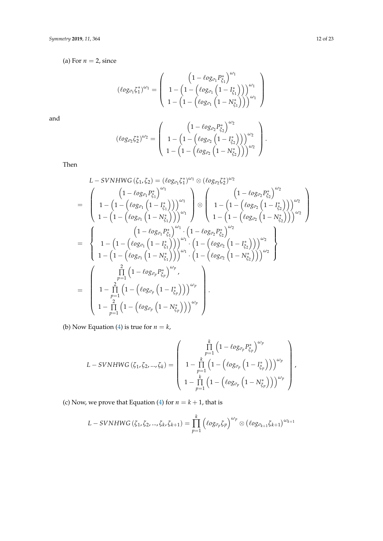(a) For  $n = 2$ , since

$$
\left(\ell o g_{\sigma_1} \zeta_1^* \right)^{\omega_1} = \left(\begin{array}{c} \left(1-\ell o g_{\sigma_1} P_{\zeta_1}^* \right)^{\omega_1} \\ 1-\left(1-\left(\ell o g_{\sigma_1} \left(1-I_{\zeta_1}^* \right) \right) \right)^{\omega_1} \\ 1-\left(1-\left(\ell o g_{\sigma_1} \left(1-N_{\zeta_1}^* \right) \right) \right)^{\omega_1} \end{array} \right)
$$

and

$$
\left(\ell o g_{\sigma_2} \zeta_2^*\right)^{\omega_2} = \left(\begin{array}{c} \left(1 - \ell o g_{\sigma_2} P_{\xi_2}^*\right)^{\omega_2} \\ 1 - \left(1 - \left(\ell o g_{\sigma_2} \left(1 - I_{\xi_2}^*\right)\right)\right)^{\omega_2} \\ 1 - \left(1 - \left(\ell o g_{\sigma_2} \left(1 - N_{\xi_2}^*\right)\right)\right)^{\omega_2}\end{array}\right).
$$

Then

$$
L-SVMHWG(\zeta_1, \zeta_2) = (\ell o_{g_{\sigma_1}} \zeta_1^{*})^{\omega_1} \otimes (\ell o_{g_{\sigma_2}} \zeta_2^{*})^{\omega_2}
$$
\n
$$
= \begin{pmatrix}\n\left(1 - \ell o_{g_{\sigma_1}} P_{\zeta_1}^{*}\right)^{\omega_1} \\
1 - \left(1 - \left(\ell o_{g_{\sigma_1}} \left(1 - I_{\zeta_1}^{*}\right)\right)\right)^{\omega_1} \\
1 - \left(1 - \left(\ell o_{g_{\sigma_1}} \left(1 - N_{\zeta_1}^{*}\right)\right)\right)^{\omega_1}\right)^{\omega_1} \\
1 - \left(1 - \left(\ell o_{g_{\sigma_2}} \left(1 - N_{\zeta_2}^{*}\right)\right)\right)^{\omega_2} \\
1 - \left(1 - \left(\ell o_{g_{\sigma_1}} P_{\zeta_1}^{*}\right)^{\omega_1} \cdot \left(1 - \ell o_{g_{\sigma_2}} P_{\zeta_2}^{*}\right)^{\omega_2}\right)^{\omega_2}\n\end{pmatrix}
$$
\n
$$
= \begin{cases}\n\left(1 - \ell o_{g_{\sigma_1}} P_{\zeta_1}^{*}\right)^{\omega_1} \cdot \left(1 - \ell o_{g_{\sigma_2}} P_{\zeta_2}^{*}\right)^{\omega_2} \\
1 - \left(1 - \left(\ell o_{g_{\sigma_1}} \left(1 - I_{\zeta_1}^{*}\right)\right)\right)^{\omega_1} \cdot \left(1 - \left(\ell o_{g_{\sigma_2}} \left(1 - I_{\zeta_2}^{*}\right)\right)\right)^{\omega_2} \\
1 - \left(1 - \left(\ell o_{g_{\sigma_1}} \left(1 - N_{\zeta_1}^{*}\right)\right)\right)^{\omega_1} \cdot \left(1 - \left(\ell o_{g_{\sigma_2}} \left(1 - N_{\zeta_2}^{*}\right)\right)\right)^{\omega_2}\n\end{pmatrix}
$$
\n
$$
= \begin{pmatrix}\n\frac{2}{\prod_{p=1}^{2}} \left(1 - \left(\ell o_{g_{\sigma_p}} P_{\zeta_p}^{*}\right)^{\omega_p}, \\
1 - \prod_{p=1}^{2} \left(1 - \left(\ell o_{g_{\sigma_p}} \left(1 - I_{\zeta_p}^{*}\right)\right)\
$$

(b) Now Equation [\(4\)](#page-10-1) is true for  $n = k$ ,

$$
L-SVNHWG\left(\zeta_1,\zeta_2,...,\zeta_k\right)=\left(\begin{array}{c} \prod\limits_{p=1}^k\left(1-\ell o g_{\sigma_p}P_{\zeta_p}^*\right)^{\omega_p}\\\ 1-\prod\limits_{p=1}^k\left(1-\left(\ell o g_{\sigma_p}\left(1-I_{\zeta_p}^*\right)\right)\right)^{\omega_p}\\\ 1-\prod\limits_{p=1}^k\left(1-\left(\ell o g_{\sigma_p}\left(1-N_{\zeta_p}^*\right)\right)\right)^{\omega_p}\end{array}\right),
$$

(c) Now, we prove that Equation [\(4\)](#page-10-1) for  $n = k + 1$ , that is

$$
L-SVNHWG(\zeta_1,\zeta_2,...,\zeta_k,\zeta_{k+1})=\prod_{p=1}^k\left(\ell{og_{\sigma_p}\zeta_p}\right)^{\omega_p}\otimes\left(\ell{og_{\sigma_{k+1}\zeta_{k+1}}}\right)^{\omega_{k+1}}
$$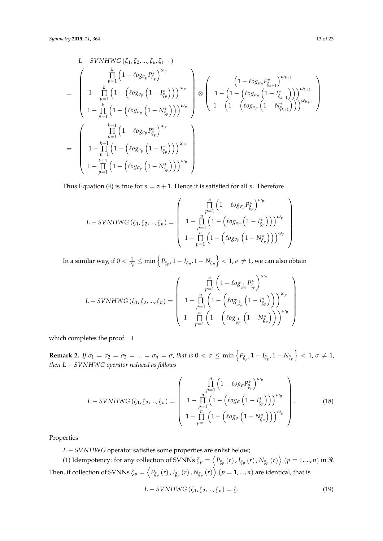$$
L-SVNHWG(\zeta_1, \zeta_2, ..., \zeta_k, \zeta_{k+1})
$$
\n
$$
= \begin{pmatrix}\n\prod_{p=1}^k (1 - \ell \circ g_{\sigma_p} P_{\zeta_p}^*)^{\omega_p} \\
1 - \prod_{p=1}^k (1 - (\ell \circ g_{\sigma_p} (1 - I_{\zeta_p}^*)))^{\omega_p} \\
1 - \prod_{p=1}^k (1 - (\ell \circ g_{\sigma_p} (1 - N_{\zeta_p}^*)))^{\omega_p} \\
1 - \prod_{p=1}^k (1 - (\ell \circ g_{\sigma_p} (1 - N_{\zeta_p}^*)))^{\omega_p}\n\end{pmatrix} \otimes \begin{pmatrix}\n(1 - \ell \circ g_{\sigma_p} P_{\zeta_{k+1}}^*)^{\omega_{k+1}} \\
1 - (1 - (\ell \circ g_{\sigma_p} (1 - N_{\zeta_{k+1}}^*)))^{\omega_{k+1}} \\
1 - (1 - (\ell \circ g_{\sigma_p} (1 - N_{\zeta_{k+1}}^*))^{\omega_{k+1}}\n\end{pmatrix}
$$
\n
$$
= \begin{pmatrix}\n\prod_{k=1}^{k+1} (1 - (\ell \circ g_{\sigma_p} (1 - I_{\zeta_p}^*))^{\omega_p} \\
1 - \prod_{p=1}^{k+1} (1 - (\ell \circ g_{\sigma_p} (1 - N_{\zeta_p}^*))^{\omega_p} \\
1 - \prod_{p=1}^{k+1} (1 - (\ell \circ g_{\sigma_p} (1 - N_{\zeta_p}^*)))^{\omega_p}\n\end{pmatrix}
$$

Thus Equation [\(4\)](#page-10-1) is true for  $n = z + 1$ . Hence it is satisfied for all *n*. Therefore

$$
L-SVNHWG(\zeta_1, \zeta_2, ..., \zeta_n) = \left(\begin{array}{c} \prod_{p=1}^n \left(1 - \ell o g_{\sigma_p} P_{\xi_p}^*\right)^{\omega_p} \\ 1 - \prod_{p=1}^n \left(1 - \left(\ell o g_{\sigma_p} \left(1 - I_{\xi_p}^*\right)\right)\right)^{\omega_p} \\ 1 - \prod_{p=1}^n \left(1 - \left(\ell o g_{\sigma_p} \left(1 - N_{\xi_p}^*\right)\right)\right)^{\omega_p} \end{array}\right)
$$

In a similar way, if  $0<\frac{1}{\sigma_p}\leq\min\left\{P_{\xi_p},1-I_{\xi_p},1-N_{\xi_p}\right\}<1$ ,  $\sigma\neq1$ , we can also obtain

$$
L-SVNHWG(\zeta_1, \zeta_2, ..., \zeta_n) = \left(\begin{array}{c} \prod_{p=1}^n \left(1 - \log_{\frac{1}{cp}} P_{\zeta_p}^*\right)^{\omega_p} \\ 1 - \prod_{p=1}^n \left(1 - \left(\log_{\frac{1}{cp}} \left(1 - I_{\zeta_p}^*\right)\right)\right)^{\omega_p} \\ 1 - \prod_{p=1}^n \left(1 - \left(\log_{\frac{1}{cp}} \left(1 - N_{\zeta_p}^*\right)\right)\right)^{\omega_p} \end{array}\right)
$$

which completes the proof.  $\square$ 

**Remark 2.** If  $\sigma_1 = \sigma_2 = \sigma_3 = ... = \sigma_n = \sigma$ , that is  $0 < \sigma \le \min\left\{P_{\xi_{p'}} 1 - I_{\xi_{p'}} 1 - N_{\xi_p}\right\} < 1$ ,  $\sigma \ne 1$ , *then L* − *SVNHWG operator reduced as follows*

$$
L-SVMHWG(\zeta_1, \zeta_2, ..., \zeta_n) = \begin{pmatrix} \prod_{p=1}^n \left(1 - \ell o g_{\sigma} P_{\zeta_p}^*\right)^{\omega_p} \\ 1 - \prod_{p=1}^n \left(1 - \left(\ell o g_{\sigma} \left(1 - I_{\zeta_p}^*\right)\right)\right)^{\omega_p} \\ 1 - \prod_{p=1}^n \left(1 - \left(\ell o g_{\sigma} \left(1 - N_{\zeta_p}^*\right)\right)\right)^{\omega_p} \end{pmatrix}.
$$
 (18)

Properties

*L* − *SVNHWG* operator satisfies some properties are enlist below;

(1) Idempotency: for any collection of SVNNs  $\zeta_p = \left\langle P_{\xi_p}(r)$  ,  $I_{\xi_p}(r)$  ,  $N_{\xi_p}(r) \right\rangle$   $(p = 1, ..., n)$  in  $\Re$ . Then, if collection of SVNNs  $\zeta_p=\left ,  $I_{\tilde\zeta_p}\left(r\right)$  ,  $N_{\tilde\zeta_p}\left(r\right)\right\}\left(p=1,...,n\right)$  are identical, that is$ 

$$
L-SVNHWG(\zeta_1,\zeta_2,...,\zeta_n)=\zeta.
$$
\n(19)

.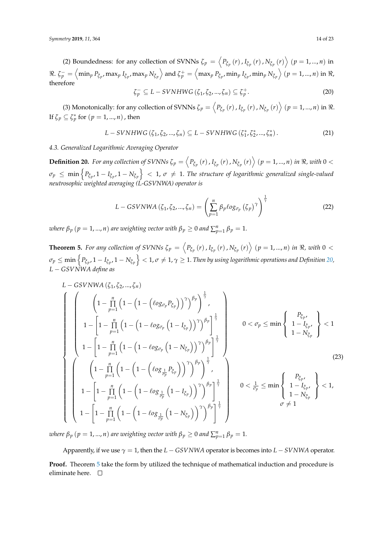(2) Boundedness: for any collection of SVNNs  $\zeta_p = \left\langle P_{\xi_p}(r)$  ,  $I_{\xi_p}(r)$  ,  $N_{\xi_p}(r) \right\rangle$   $(p = 1, ..., n)$  in  $\Re.~\zeta_p^-=\left<\min_p P_{\tilde\zeta_p},\max_p I_{\tilde\zeta_p},\max_p N_{\tilde\zeta_p}\right> \text{and} ~\zeta_p^+=\left<\max_p P_{\tilde\zeta_p},\min_p I_{\tilde\zeta_p},\min_p N_{\tilde\zeta_p}\right>~(p=1,...,n) \text{ in } \Re.$ therefore

$$
\zeta_p^- \subseteq L - SVNHWG\left(\zeta_1, \zeta_2, ..., \zeta_n\right) \subseteq \zeta_p^+.
$$
\n(20)

(3) Monotonically: for any collection of SVNNs  $\zeta_p = \left\langle P_{\xi_p}(r)$  ,  $I_{\xi_p}(r)$  ,  $N_{\xi_p}(r) \right\rangle$   $(p = 1, ..., n)$  in  $\Re$ . If  $\zeta_p \subseteq \zeta_p^*$  for  $(p = 1, ..., n)$  , then

$$
L-SVNHWG(\zeta_1,\zeta_2,...,\zeta_n)\subseteq L-SVNHWG(\zeta_1^*,\zeta_2^*,...,\zeta_n^*).
$$
 (21)

*4.3. Generalized Logarithmic Averaging Operator*

<span id="page-13-0"></span>**Definition 20.** For any collection of SVNNs  $\zeta_p = \left\langle P_{\xi_p}(r)$  ,  $I_{\xi_p}(r)$  ,  $N_{\xi_p}(r) \right\rangle$   $(p = 1, ..., n)$  in  $\Re$ , with  $0 <$  $\sigma_p \leq \min\left\{P_{\xi_p}, 1 - I_{\xi_p}, 1 - N_{\xi_p}\right\} < 1$ ,  $\sigma \neq 1$ . The structure of logarithmic generalized single-valued *neutrosophic weighted averaging (L-GSVNWA) operator is*

$$
L - GSVNWA (\zeta_1, \zeta_2, ..., \zeta_n) = \left(\sum_{p=1}^n \beta_p \ell o g_{\sigma_p} (\zeta_p)^\gamma\right)^{\frac{1}{\gamma}}
$$
(22)

*where*  $\beta_p$  $(p = 1, ..., n)$  *are weighting vector with*  $\beta_p \geq 0$  *and*  $\sum_{p=1}^n \beta_p = 1$ *.* 

<span id="page-13-1"></span>**Theorem 5.** For any collection of SVNNs  $\zeta_p = \left\langle P_{\xi_p}(r)$  ,  $I_{\xi_p}(r)$  ,  $N_{\xi_p}(r) \right\rangle$   $(p = 1, ..., n)$  in  $\Re$ , with  $0 <$  $\sigma_p\leq\min\left\{P_{\xi_p},1-P_{\xi_p},1-N_{\xi_p}\right\}< 1$ ,  $\sigma\neq 1$ ,  $\gamma\geq 1$ . Then by using logarithmic operations and Definition [20,](#page-13-0) *L* − *GSVNWA define as*

$$
L - GSVNWA (\zeta_1, \zeta_2, ..., \zeta_n)
$$
\n
$$
\begin{bmatrix}\n\left(1 - \prod_{p=1}^n \left(1 - \left(1 - \left(\ell_{0g_{\sigma_p}} P_{\xi_p}\right)\right)^{\gamma}\right)^{\beta_p}\right)^{\frac{1}{\gamma}}, \\
1 - \left[1 - \prod_{p=1}^n \left(1 - \left(1 - \ell_{0g_{\sigma_p}} \left(1 - I_{\xi_p}\right)\right)^{\gamma}\right)^{\beta_p}\right]^{\frac{1}{\gamma}} \\
1 - \left[1 - \prod_{p=1}^n \left(1 - \left(1 - \ell_{0g_{\sigma_p}} \left(1 - I_{\xi_p}\right)\right)^{\gamma}\right)^{\beta_p}\right]^{\frac{1}{\gamma}}\right] & 0 < \sigma_p \le \min\left\{\begin{array}{l} P_{\xi_p, \zeta_p} \\
1 - I_{\xi_p, \zeta_p} \\
1 - N_{\xi_p}^{\gamma}\n\end{array}\right\} < 1\n\end{bmatrix}
$$
\n
$$
\begin{bmatrix}\n\left(1 - \prod_{p=1}^n \left(1 - \left(1 - \left(\ell_{0g_{\frac{1}{\sigma_p}} P_{\xi_p}\right)\right)^{\gamma}\right)^{\beta_p}\right)^{\frac{1}{\gamma}} \\
1 - \left[1 - \prod_{p=1}^n \left(1 - \left(1 - \ell_{0g_{\frac{1}{\sigma_p}} \left(1 - I_{\xi_p}\right)\right)^{\gamma}\right)^{\beta_p}\right]^{\frac{1}{\gamma}} \\
1 - \left[1 - \prod_{p=1}^n \left(1 - \left(1 - \ell_{0g_{\frac{1}{\sigma_p}} \left(1 - I_{\xi_p}\right)\right)^{\gamma}\right)^{\beta_p}\right]^{\frac{1}{\gamma}} \\
1 - \left[1 - \prod_{p=1}^n \left(1 - \left(1 - \ell_{0g_{\frac{1}{\sigma_p}} \left(1 - N_{\xi_p}\right)\right)^{\gamma}\right)^{\beta_p}\right]^{\frac{1}{\gamma}}\n\end{bmatrix}
$$
\n(23)

*where*  $\beta_p$  $(p = 1, ..., n)$  *are weighting vector with*  $\beta_p \geq 0$  *and*  $\sum_{p=1}^n \beta_p = 1$ *.* 

Apparently, if we use  $\gamma = 1$ , then the  $L - GSVNWA$  operator is becomes into  $L - SVNWA$  operator. **Proof.** Theorem [5](#page-13-1) take the form by utilized the technique of mathematical induction and procedure is eliminate here.  $\square$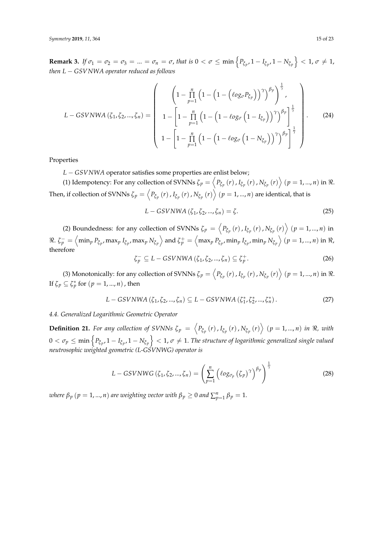**Remark 3.** If  $\sigma_1 = \sigma_2 = \sigma_3 = ... = \sigma_n = \sigma$ , that is  $0 < \sigma \le \min\left\{\frac{P_{\xi_{p'}}}{P_{\xi_{p'}}}, 1 - \frac{I_{\xi_{p'}}}{P_{\xi_{p'}}}\right\} < 1$ ,  $\sigma \ne 1$ , *then L* − *GSVNWA operator reduced as follows*

$$
L - GSVNWA (\zeta_1, \zeta_2, ..., \zeta_n) = \left(\begin{array}{c} \left(1 - \prod_{p=1}^n \left(1 - \left(1 - \left(\ell_{0g_{\sigma}} P_{\zeta_p}\right)\right)^{\gamma}\right)^{\beta_p}\right)^{\frac{1}{\gamma}}, \\ 1 - \left[1 - \prod_{p=1}^n \left(1 - \left(1 - \ell_{0g_{\sigma}} \left(1 - I_{\zeta_p}\right)\right)^{\gamma}\right)^{\beta_p}\right]^{\frac{1}{\gamma}} \\ 1 - \left[1 - \prod_{p=1}^n \left(1 - \left(1 - \ell_{0g_{\sigma}} \left(1 - N_{\zeta_p}\right)\right)^{\gamma}\right)^{\beta_p}\right]^{\frac{1}{\gamma}} \end{array}\right).
$$
 (24)

Properties

*L* − *GSVNWA* operator satisfies some properties are enlist below;

(1) Idempotency: For any collection of SVNNs  $\zeta_p = \left\langle P_{\tilde{\zeta}_p}\left(r\right), I_{\tilde{\zeta}_p}\left(r\right), N_{\tilde{\zeta}_p}\left(r\right) \right\rangle (p = 1, ..., n)$  in  $\Re$ . Then, if collection of SVNNs  $\zeta_p=\left ,  $I_{\tilde\zeta_p}\left(r\right)$  ,  $N_{\tilde\zeta_p}\left(r\right)\right\}\left(p=1,...,n\right)$  are identical, that is$ 

$$
L - GSVNWA\left(\zeta_{1}, \zeta_{2}, ..., \zeta_{n}\right) = \zeta.
$$
\n<sup>(25)</sup>

(2) Boundedness: for any collection of SVNNs  $\zeta_p = \left\langle P_{\xi_p}(r)$ ,  $I_{\xi_p}(r)$ ,  $N_{\xi_p}(r) \right\rangle$   $(p = 1, ..., n)$  in  $\Re.~\zeta_p^-=\left<\min_p P_{\tilde\zeta_p},\max_p I_{\tilde\zeta_p},\max_p N_{\tilde\zeta_p}\right> \text{and} ~\zeta_p^+=\left<\max_p P_{\tilde\zeta_p},\min_p I_{\tilde\zeta_p},\min_p N_{\tilde\zeta_p}\right>~(p=1,...,n) \text{ in } \Re.$ therefore

$$
\zeta_p^- \subseteq L - GSVNWA\left(\zeta_1, \zeta_2, ..., \zeta_n\right) \subseteq \zeta_p^+.
$$
 (26)

(3) Monotonically: for any collection of SVNNs  $\zeta_p = \left\langle P_{\xi_p}\left(r\right), I_{\xi_p}\left(r\right), N_{\xi_p}\left(r\right) \right\rangle$   $\left(p = 1, ..., n\right)$  in  $\Re$ . If  $\zeta_p \subseteq \zeta_p^*$  for  $(p = 1, ..., n)$  , then

$$
L - GSVNWA(\zeta_1, \zeta_2, ..., \zeta_n) \subseteq L - GSVNWA(\zeta_1^*, \zeta_2^*, ..., \zeta_n^*).
$$
 (27)

## *4.4. Generalized Logarithmic Geometric Operator*

<span id="page-14-0"></span>**Definition 21.** For any collection of SVNNs  $\zeta_p = \langle P_{\xi_p}(r), I_{\xi_p}(r), N_{\xi_p}(r) \rangle$   $(p = 1, ..., n)$  in  $\Re$ , with  $0<\sigma_p\leq\min\left\{P_{\xi_p},1-I_{\xi_p},1-N_{\xi_p}\right\}< 1$ ,  $\sigma\neq1.$  The structure of logarithmic generalized single valued *neutrosophic weighted geometric (L-GSVNWG) operator is*

$$
L - GSVNWG\left(\zeta_{1}, \zeta_{2}, ..., \zeta_{n}\right) = \left(\sum_{p=1}^{n} \left(\ell_{0}g_{\sigma_{p}}\left(\zeta_{p}\right)^{\gamma}\right)^{\beta_{p}}\right)^{\frac{1}{\gamma}}
$$
(28)

*where*  $\beta_p$  $(p = 1, ..., n)$  *are weighting vector with*  $\beta_p \geq 0$  *and*  $\sum_{p=1}^n \beta_p = 1$ *.*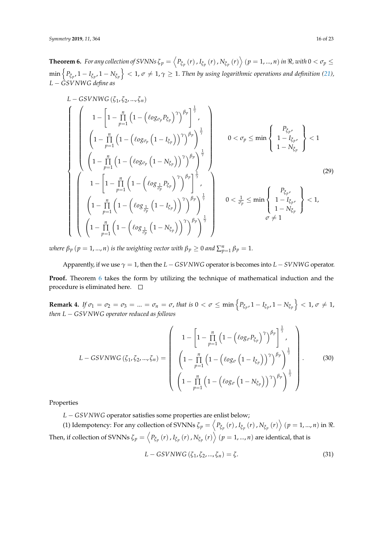<span id="page-15-0"></span>**Theorem 6.** For any collection of SVNNs  $\zeta_p=\left\langle P_{\xi_p}\left(r\right),I_{\xi_p}\left(r\right),N_{\xi_p}\left(r\right)\right\rangle$   $(p=1,...,n)$  in  $\Re$ , with  $0<\sigma_p\leq$  $\min\left\{P_{\xi_p}, 1 - I_{\xi_p}, 1 - N_{\xi_p}\right\} < 1$ ,  $\sigma\neq 1, \gamma\geq 1$ . Then by using logarithmic operations and definition [\(21\)](#page-14-0), *L* − *GSVNWG define as*

$$
L - GSVNWG\left(\zeta_{1}, \zeta_{2}, ..., \zeta_{n}\right)
$$
\n
$$
\begin{pmatrix}\n1 - \left[1 - \prod_{p=1}^{n} \left(1 - \left(\ell_{0}g_{\sigma_{p}}P_{\xi_{p}}\right)^{\gamma}\right)^{\beta_{p}}\right]^{\frac{1}{\gamma}} \\
\left(1 - \prod_{p=1}^{n} \left(1 - \left(\ell_{0}g_{\sigma_{p}}\left(1 - I_{\xi_{p}}\right)\right)^{\gamma}\right)^{\beta_{p}}\right)^{\frac{1}{\gamma}} \\
\left(1 - \prod_{p=1}^{n} \left(1 - \left(\ell_{0}g_{\sigma_{p}}\left(1 - N_{\xi_{p}}\right)\right)^{\gamma}\right)^{\beta_{p}}\right)^{\frac{1}{\gamma}} \\
1 - \left[1 - \prod_{p=1}^{n} \left(1 - \left(\ell_{0}g_{\frac{1}{\sigma_{p}}P_{\xi_{p}}}\right)^{\gamma}\right)^{\beta_{p}}\right]^{\frac{1}{\gamma}}\n\end{pmatrix} \qquad 0 < \sigma_{p} \le \min\left\{\begin{array}{l} P_{\xi_{p'}} \\
1 - I_{\xi_{p'}} \\
1 - N_{\xi_{p}}\n\end{array}\right\} < 1
$$
\n
$$
\begin{pmatrix}\n1 - \left[1 - \prod_{p=1}^{n} \left(1 - \left(\ell_{0}g_{\frac{1}{\sigma_{p}}P_{\xi_{p}}}\right)^{\gamma}\right)^{\beta_{p}}\right]^{\frac{1}{\gamma}} \\
\left(1 - \prod_{p=1}^{n} \left(1 - \left(\ell_{0}g_{\frac{1}{\sigma_{p}}} \left(1 - I_{\xi_{p}}\right)\right)^{\gamma}\right)^{\beta_{p}}\right)^{\frac{1}{\gamma}} \\
\left(1 - \prod_{p=1}^{n} \left(1 - \left(\ell_{0}g_{\frac{1}{\sigma_{p}}} \left(1 - N_{\xi_{p}}\right)\right)^{\gamma}\right)^{\beta_{p}}\right)^{\frac{1}{\gamma}}\n\end{pmatrix} \qquad 0 < \frac{1}{\sigma_{p}} \le \min\left\{\begin{array}{l} P_{\xi_{p'}} \\
1 - I_{\xi_{p'}} \\
1 - N_{\xi_{p}} \\
\sigma \neq 1\n\end{array}\right\} < 1,
$$
\n(29)

*where*  $\beta_p$   $(p = 1, ..., n)$  *is the weighting vector with*  $\beta_p \geq 0$  *and*  $\sum_{p=1}^{n} \beta_p = 1$ *.* 

Apparently, if we use  $\gamma = 1$ , then the  $L - GSVNWG$  operator is becomes into  $L - SVNWG$  operator. **Proof.** Theorem [6](#page-15-0) takes the form by utilizing the technique of mathematical induction and the procedure is eliminated here.  $\square$ 

**Remark 4.** If  $\sigma_1 = \sigma_2 = \sigma_3 = ... = \sigma_n = \sigma$ , that is  $0 < \sigma \le \min\left\{\frac{P_{\xi_{p'}}}{P_{\xi_{p'}}}, 1 - \frac{I_{\xi_{p'}}}{P_{\xi_{p'}}}\right\} < 1$ ,  $\sigma \ne 1$ , *then L* − *GSVNWG operator reduced as follows*

$$
L - GSVNWG(\zeta_1, \zeta_2, ..., \zeta_n) = \left(\begin{array}{c} 1 - \left[1 - \prod_{p=1}^n \left(1 - \left(\ell_{0g_{\sigma}} P_{\zeta_p}\right)^{\gamma}\right)^{\beta_p}\right]^{\frac{1}{\gamma}}, \\ \left(1 - \prod_{p=1}^n \left(1 - \left(\ell_{0g_{\sigma}} \left(1 - I_{\zeta_p}\right)\right)^{\gamma}\right)^{\beta_p}\right)^{\frac{1}{\gamma}} \\ \left(1 - \prod_{p=1}^n \left(1 - \left(\ell_{0g_{\sigma}} \left(1 - N_{\zeta_p}\right)\right)^{\gamma}\right)^{\beta_p}\right)^{\frac{1}{\gamma}} \end{array}\right).
$$
(30)

Properties

*L* − *GSVNWG* operator satisfies some properties are enlist below;

(1) Idempotency: For any collection of SVNNs  $\zeta_p=\left ,  $I_{\tilde{\zeta}_p}\left(r\right)$  ,  $N_{\tilde{\zeta}_p}\left(r\right)\right>(p=1,...,n)$  in  $\Re$ .$ Then, if collection of SVNNs  $\zeta_p=\left ,  $I_{\tilde\zeta_p}\left(r\right)$  ,  $N_{\tilde\zeta_p}\left(r\right)\right\}\left(p=1,...,n\right)$  are identical, that is$ 

$$
L - GSVNWG(\zeta_1, \zeta_2, ..., \zeta_n) = \zeta.
$$
\n(31)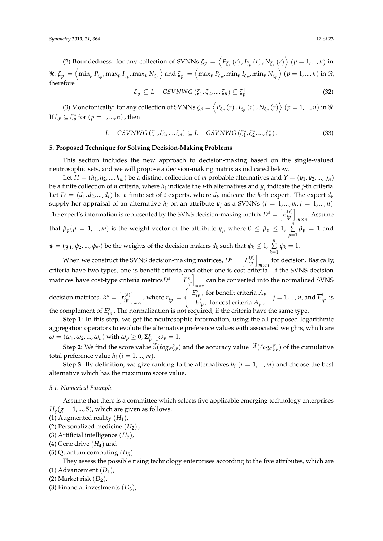(2) Boundedness: for any collection of SVNNs  $\zeta_p = \left\langle P_{\xi_p}(r)$  ,  $I_{\xi_p}(r)$  ,  $N_{\xi_p}(r) \right\rangle$   $(p = 1, ..., n)$  in  $\Re.~\zeta_p^-=\left<\min_p P_{\tilde\zeta_p},\max_p I_{\tilde\zeta_p},\max_p N_{\tilde\zeta_p}\right> \text{and} ~\zeta_p^+=\left<\max_p P_{\tilde\zeta_p},\min_p I_{\tilde\zeta_p},\min_p N_{\tilde\zeta_p}\right>~(p=1,...,n) \text{ in } \Re.$ therefore

$$
\zeta_p^- \subseteq L - GSVNWG\left(\zeta_1, \zeta_2, ..., \zeta_n\right) \subseteq \zeta_p^+.
$$
\n(32)

(3) Monotonically: for any collection of SVNNs  $\zeta_p = \left\langle P_{\xi_p}(r)$  ,  $I_{\xi_p}(r)$  ,  $N_{\xi_p}(r) \right\rangle$   $(p = 1, ..., n)$  in  $\Re$ . If  $\zeta_p \subseteq \zeta_p^*$  for  $(p = 1, ..., n)$  , then

$$
L - GSVNWG(\zeta_1, \zeta_2, ..., \zeta_n) \subseteq L - GSVNWG(\zeta_1^*, \zeta_2^*, ..., \zeta_n^*).
$$
 (33)

## <span id="page-16-0"></span>**5. Proposed Technique for Solving Decision-Making Problems**

This section includes the new approach to decision-making based on the single-valued neutrosophic sets, and we will propose a decision-making matrix as indicated below.

Let  $H = (h_1, h_2, ..., h_m)$  be a distinct collection of *m* probable alternatives and  $Y = (y_1, y_2, ..., y_n)$ be a finite collection of *n* criteria, where *h<sup>i</sup>* indicate the *i*-th alternatives and *y<sup>j</sup>* indicate the *j*-th criteria. Let  $D = (d_1, d_2, ..., d_t)$  be a finite set of *t* experts, where  $d_k$  indicate the *k*-th expert. The expert  $d_k$ supply her appraisal of an alternative  $h_i$  on an attribute  $y_j$  as a SVNNs  $(i = 1, ..., m; j = 1, ..., n)$ . The expert's information is represented by the SVNS decision-making matrix  $D^s = \left[E^{(s)}_{ip}\right]_{m\times n}$ . Assume that  $\beta_p(p = 1, ..., m)$  is the weight vector of the attribute  $y_j$ , where  $0 \le \beta_p \le 1$ ,  $\sum_{j=1}^{n}$  $\sum\limits_{p=1}$   $\beta_p$  = 1 and  $\psi=(\psi_1,\psi_2,...,\psi_m)$  be the weights of the decision makers  $d_k$  such that  $\psi_k\leq 1$ ,  $\sum\limits_{i=1}^n\frac{1}{2}$  $\sum_{k=1} \psi_k = 1.$ 

When we construct the SVNS decision-making matrices,  $D^s = \left[E_{ip}^{(s)}\right]_{m \times n}$  for decision. Basically, criteria have two types, one is benefit criteria and other one is cost criteria. If the SVNS decision matrices have cost-type criteria metrics $D^s = \left[E_{ip}^s\right]_{m \times n}$  can be converted into the normalized SVNS decision matrices,  $R^s = \left[ r_{ip}^{(s)} \right]_{m \times n}$ , where  $r_{ip}^s =$  $\int E_{ip}^s$ , for benefit criteria  $A_p$  $\overline{\vec{E}}_{ip}^{s}$  , for cost criteria  $A_{p}$  ,  $j = 1, ..., n$ , and  $\overline{E}_{ip}^s$  is the complement of  $E_{ip}^s$ . The normalization is not required, if the criteria have the same type.

**Step 1**: In this step, we get the neutrosophic information, using the all proposed logarithmic aggregation operators to evolute the alternative preference values with associated weights, which are *ω* = (*ω*<sub>1</sub>, *ω*<sub>2</sub>, ..., *ω*<sub>*n*</sub>) with  $ω$ <sub>*p*</sub>  $\geq 0$ ,  $\Sigma_{p=1}^{n}ω$ <sub>*p*</sub> = 1.

**Step 2**: We find the score value  $\tilde{S}(\ell o g_{\sigma} \zeta_p)$  and the accuracy value  $\tilde{A}(\ell o g_{\sigma} \zeta_p)$  of the cumulative total preference value  $h_i$  ( $i = 1, ..., m$ ).

**Step 3**: By definition, we give ranking to the alternatives  $h_i$  ( $i = 1, ..., m$ ) and choose the best alternative which has the maximum score value.

#### <span id="page-16-1"></span>*5.1. Numerical Example*

Assume that there is a committee which selects five applicable emerging technology enterprises  $H_g$ ( $g = 1, ..., 5$ ), which are given as follows.

- (1) Augmented reality  $(H_1)$ ,
- (2) Personalized medicine  $(H_2)$ ,
- (3) Artificial intelligence  $(H_3)$ ,
- (4) Gene drive  $(H_4)$  and
- (5) Quantum computing  $(H_5)$ .

They assess the possible rising technology enterprises according to the five attributes, which are (1) Advancement  $(D_1)$ ,

- (2) Market risk  $(D_2)$ ,
- (3) Financial investments  $(D_3)$ ,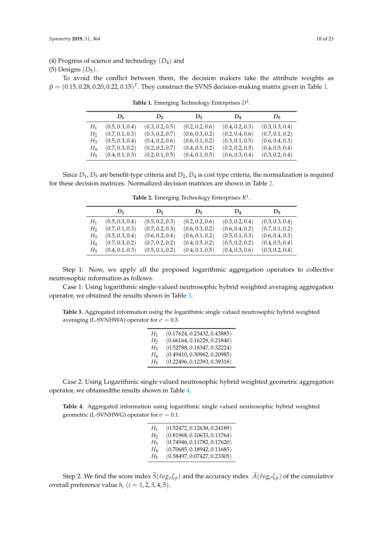(4) Progress of science and technology (*D*4) and

### (5) Designs  $(D_5)$ .

<span id="page-17-0"></span>To avoid the conflict between them, the decision makers take the attribute weights as  $\beta = (0.15, 0.28, 0.20, 0.22, 0.15)^T$ . They construct the SVNS decision-making matrix given in Table [1.](#page-17-0)

|       | $D_1$           | $D_2$           | $D_3$           | $D_4$           | $D_{\overline{5}}$ |
|-------|-----------------|-----------------|-----------------|-----------------|--------------------|
| $H_1$ | (0.5, 0.3, 0.4) | (0.3, 0.2, 0.5) | (0.2, 0.2, 0.6) | (0.4, 0.2, 0.3) | (0.3, 0.3, 0.4)    |
| H2    | (0.7, 0.1, 0.3) | (0.3, 0.2, 0.7) | (0.6, 0.3, 0.2) | (0.2, 0.4, 0.6) | (0.7, 0.1, 0.2)    |
| $H_3$ | (0.5, 0.3, 0.4) | (0.4, 0.2, 0.6) | (0.6, 0.1, 0.2) | (0.3, 0.1, 0.5) | (0.6, 0.4, 0.3)    |
| H4    | (0.7, 0.3, 0.2) | (0.2, 0.2, 0.7) | (0.4, 0.5, 0.2) | (0.2, 0.2, 0.5) | (0.4, 0.5, 0.4)    |
| Hҕ    | (0.4, 0.1, 0.3) | (0.2, 0.1, 0.5) | (0.4, 0.1, 0.5) | (0.6, 0.3, 0.4) | (0.3, 0.2, 0.4)    |

**Table 1.** Emerging Technology Enterprises *D*<sup>1</sup> .

<span id="page-17-1"></span>Since  $D_1$ ,  $D_3$  are benefit-type criteria and  $D_2$ ,  $D_4$  is cost type criteria, the normalization is required for these decision matrices. Normalized decision matrices are shown in Table [2.](#page-17-1)

|         | $D_1$           | $D_2$           | $D_3$           | $D_4$           | $D_5$           |
|---------|-----------------|-----------------|-----------------|-----------------|-----------------|
| H1      | (0.5, 0.3, 0.4) | (0.5, 0.2, 0.3) | (0.2, 0.2, 0.6) | (0.3, 0.2, 0.4) | (0.3, 0.3, 0.4) |
| H2      | (0.7, 0.1, 0.3) | (0.7, 0.2, 0.3) | (0.6, 0.3, 0.2) | (0.6, 0.4, 0.2) | (0.7, 0.1, 0.2) |
| H3      | (0.5, 0.3, 0.4) | (0.6, 0.2, 0.4) | (0.6, 0.1, 0.2) | (0.5, 0.1, 0.3) | (0.6, 0.4, 0.3) |
| $H_{4}$ | (0.7, 0.3, 0.2) | (0.7, 0.2, 0.2) | (0.4, 0.5, 0.2) | (0.5, 0.2, 0.2) | (0.4, 0.5, 0.4) |
| Hҕ      | (0.4, 0.1, 0.3) | (0.5, 0.1, 0.2) | (0.4, 0.1, 0.5) | (0.4, 0.3, 0.6) | (0.3, 0.2, 0.4) |

**Table 2.** Emerging Technology Enterprises *R* 1 .

Step 1: Now, we apply all the proposed logarithmic aggregation operators to collective neutrosophic information as follows.

Case 1: Using logarithmic single-valued neutrosophic hybrid weighted averaging aggregation operator, we obtained the results shown in Table [3.](#page-17-2)

<span id="page-17-2"></span>**Table 3.** Aggregated information using the logarithmic single valued neutrosophic hybrid weighted averaging (L-SVNHWA) operator for  $\sigma = 0.3$ .

| $H_1$          | (0.17624, 0.23432, 0.43885) |
|----------------|-----------------------------|
| H <sub>2</sub> | (0.66164, 0.16229, 0.21840) |
| $H_3$          | (0.52788, 0.18347, 0.32224) |
| $H_4$          | (0.49410, 0.30962, 0.20985) |
| H5             | (0.22496, 0.12393, 0.39318) |

Case 2: Using Logarithmic single valued neutrosophic hybrid weighted geometric aggregation operator, we obtainedthe results shown in Table [4.](#page-17-3)

<span id="page-17-3"></span>**Table 4.** Aggregated information using logarithmic single valued neutrosophic hybrid weighted geometric (L-SVNHWG) operator for  $\sigma = 0.1$ .

| $H_1$          | (0.52472, 0.12638, 0.24189) |
|----------------|-----------------------------|
| H <sub>2</sub> | (0.81968, 0.10633, 0.11764) |
| $H_3$          | (0.74946, 0.11782, 0.17620) |
| $H_4$          | (0.70685, 0.18942, 0.11685) |
| $H_5$          | (0.58497, 0.07427, 0.23305) |

Step 2: We find the score index  $\tilde{S}(\ell o g_{\sigma} \zeta_p)$  and the accuracy index  $\tilde{A}(\ell o g_{\sigma} \zeta_p)$  of the cumulative overall preference value  $h_i$  ( $i = 1, 2, 3, 4, 5$ ).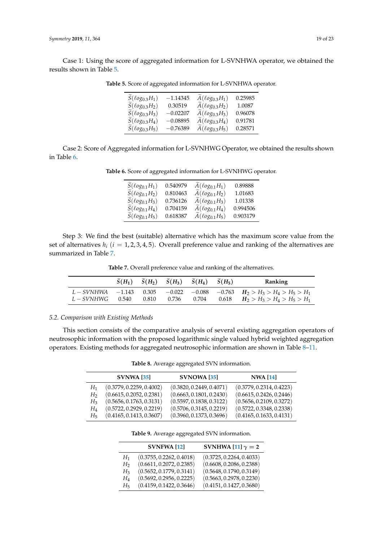<span id="page-18-1"></span>Case 1: Using the score of aggregated information for L-SVNHWA operator, we obtained the results shown in Table [5.](#page-18-1)

| $S(\ell o g0.3H1)$                  | $-1.14345$ | $A(\ell o g_{0.3}H_1)$             | 0.25985 |
|-------------------------------------|------------|------------------------------------|---------|
| $\widetilde{S}(\ell o g_{0.3} H_2)$ | 0.30519    | $\widetilde{A}(\ell o g_{0.3}H_2)$ | 1.0087  |
| $\widetilde{S}(\ell o g_{0.3} H_3)$ | $-0.02207$ | $\widetilde{A}(\ell o g_{0.3}H_3)$ | 0.96078 |
| $\widetilde{S}(\ell o g_{0.3} H_4)$ | $-0.08895$ | $A(\ell o g_{0.3}H_4)$             | 0.91781 |
| $\widetilde{S}(\ell o g_{0.3} H_5)$ | $-0.76389$ | $A(\ell o g_{0.3}H_5)$             | 0.28571 |

**Table 5.** Score of aggregated information for L-SVNHWA operator.

<span id="page-18-2"></span>Case 2: Score of Aggregated information for L-SVNHWG Operator, we obtained the results shown in Table [6.](#page-18-2)

| $S(\ell o g_{0.1}H_1)$              | 0.540979 | $\widetilde{A}(\ell o g_{0.1}H_1)$  | 0.89888  |
|-------------------------------------|----------|-------------------------------------|----------|
| $\widetilde{S}(\ell o g_{0.1} H_2)$ | 0.810463 | $\widetilde{A}(\ell o g_{0.1} H_2)$ | 1.01683  |
| $\widetilde{S}(\ell o g_{0.1} H_3)$ | 0.736126 | $A(\ell o g_{0.1}H_3)$              | 1.01338  |
| $S(\ell o g_{0.1} H_4)$             | 0.704159 | $A(\ell o g_{0.1}H_4)$              | 0.994506 |
| $\widetilde{S}(\ell o g_{0.1} H_5)$ | 0.618387 | $\widetilde{A}(\ell o g_{0.1}H_5)$  | 0.903179 |

Step 3: We find the best (suitable) alternative which has the maximum score value from the set of alternatives  $h_i$  ( $i = 1, 2, 3, 4, 5$ ). Overall preference value and ranking of the alternatives are summarized in Table [7.](#page-18-3)

**Table 7.** Overall preference value and ranking of the alternatives.

<span id="page-18-3"></span>

|                                               |       | $\widetilde{S}(H_1)$ $\widetilde{S}(H_2)$ $\widetilde{S}(H_3)$ $\widetilde{S}(H_4)$ $\widetilde{S}(H_5)$ |       | Ranking                                                                                         |
|-----------------------------------------------|-------|----------------------------------------------------------------------------------------------------------|-------|-------------------------------------------------------------------------------------------------|
| $L-SVNHWA$ -1.143 0.305<br>$L-SVMHWG = 0.540$ | 0.810 | $\cdots$ 0.736 $\cdots$                                                                                  | 0.704 | $-0.022$ $-0.088$ $-0.763$ $H_2 > H_3 > H_4 > H_5 > H_1$<br>0.618 $H_2 > H_3 > H_4 > H_5 > H_1$ |

## <span id="page-18-0"></span>*5.2. Comparison with Existing Methods*

<span id="page-18-4"></span>This section consists of the comparative analysis of several existing aggregation operators of neutrosophic information with the proposed logarithmic single valued hybrid weighted aggregation operators. Existing methods for aggregated neutrosophic information are shown in Table [8–](#page-18-4)[11.](#page-19-0)

**Table 8.** Average aggregated SVN information.

|                | <b>SVNWA [35]</b>        | SVNOWA [35]              | <b>NWA</b> [14]          |
|----------------|--------------------------|--------------------------|--------------------------|
| $H_1$          | (0.3779, 0.2259, 0.4002) | (0.3820, 0.2449, 0.4071) | (0.3779, 0.2314, 0.4223) |
| H <sub>2</sub> | (0.6615, 0.2052, 0.2381) | (0.6663, 0.1801, 0.2430) | (0.6615, 0.2426, 0.2446) |
| $H_3$          | (0.5656, 0.1763, 0.3131) | (0.5597, 0.1838, 0.3122) | (0.5656, 0.2109, 0.3272) |
| $H_4$          | (0.5722, 0.2929, 0.2219) | (0.5706, 0.3145, 0.2219) | (0.5722, 0.3348, 0.2338) |
| $H_5$          | (0.4165, 0.1413, 0.3607) | (0.3960, 0.1373, 0.3696) | (0.4165, 0.1633, 0.4131) |
|                |                          |                          |                          |

**Table 9.** Average aggregated SVN information.

|                | <b>SVNFWA [12]</b>       | SVNHWA [11] $\gamma = 2$ |
|----------------|--------------------------|--------------------------|
| $H_1$          | (0.3755, 0.2262, 0.4018) | (0.3725, 0.2264, 0.4033) |
| H <sub>2</sub> | (0.6611, 0.2072, 0.2385) | (0.6608, 0.2086, 0.2388) |
| $H_3$          | (0.5652, 0.1779, 0.3141) | (0.5648, 0.1790, 0.3149) |
| $H_4$          | (0.5692, 0.2956, 0.2225) | (0.5663, 0.2978, 0.2230) |
| $H_{5}$        | (0.4159, 0.1422, 0.3646) | (0.4151, 0.1427, 0.3680) |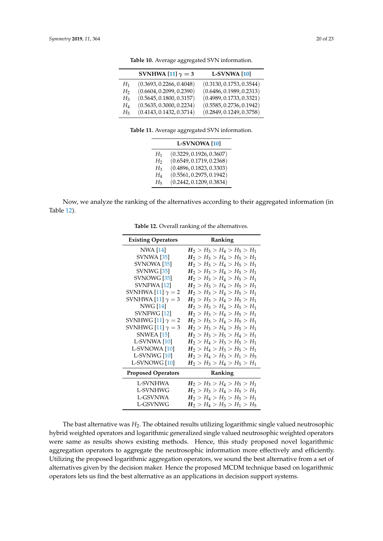|                | SVNHWA [11] $\gamma = 3$ | <b>L-SVNWA</b> [10]      |
|----------------|--------------------------|--------------------------|
| $H_1$          | (0.3693, 0.2266, 0.4048) | (0.3130, 0.1753, 0.3544) |
| H <sub>2</sub> | (0.6604, 0.2099, 0.2390) | (0.6486, 0.1989, 0.2313) |
| $H_3$          | (0.5645, 0.1800, 0.3157) | (0.4989, 0.1733, 0.3321) |
| $H_{4}$        | (0.5635, 0.3000, 0.2234) | (0.5585, 0.2736, 0.1942) |
| $H_{5}$        | (0.4143, 0.1432, 0.3714) | (0.2849, 0.1249, 0.3758) |

**Table 10.** Average aggregated SVN information.

**Table 11.** Average aggregated SVN information.

|                | L-SVNOWA <sup>[10]</sup> |
|----------------|--------------------------|
| $H_1$          | (0.3229, 0.1926, 0.3607) |
| H <sub>2</sub> | (0.6549, 0.1719, 0.2368) |
| $H_3$          | (0.4896, 0.1823, 0.3303) |
| $H_{4}$        | (0.5561, 0.2975, 0.1942) |
| $H_5$          | (0.2442, 0.1209, 0.3834) |

<span id="page-19-1"></span><span id="page-19-0"></span>Now, we analyze the ranking of the alternatives according to their aggregated information (in Table [12\)](#page-19-1).

| <b>Existing Operators</b> | <b>Ranking</b>                |
|---------------------------|-------------------------------|
| NWA [14]                  | $H_2 > H_3 > H_4 > H_5 > H_1$ |
| <b>SVNWA</b> [35]         | $H_2 > H_3 > H_4 > H_5 > H_1$ |
| SVNOWA <sup>[35]</sup>    | $H_2 > H_3 > H_4 > H_5 > H_1$ |
| <b>SVNWG</b> [35]         | $H_2 > H_3 > H_4 > H_5 > H_1$ |
| SVNOWG [35]               | $H_2 > H_3 > H_4 > H_5 > H_1$ |
| SVNFWA [12]               | $H_2 > H_3 > H_4 > H_5 > H_1$ |
| SVNHWA [11] $\gamma = 2$  | $H_2 > H_3 > H_4 > H_5 > H_1$ |
| SVNHWA [11] $\gamma = 3$  | $H_2 > H_3 > H_4 > H_5 > H_1$ |
| NWG [14]                  | $H_2 > H_3 > H_4 > H_5 > H_1$ |
| SVNFWG [12]               | $H_2 > H_3 > H_4 > H_5 > H_1$ |
| SVNHWG [11] $\gamma = 2$  | $H_2 > H_3 > H_4 > H_5 > H_1$ |
| SVNHWG [11] $\gamma = 3$  | $H_2 > H_3 > H_4 > H_5 > H_1$ |
| SNWEA [15]                | $H_2 > H_3 > H_5 > H_4 > H_1$ |
| L-SVNWA [10]              | $H_2 > H_4 > H_3 > H_5 > H_1$ |
| L-SVNOWA [10]             | $H_2 > H_4 > H_3 > H_5 > H_1$ |
| L-SVNWG [10]              | $H_2 > H_4 > H_3 > H_1 > H_5$ |
| L-SVNOWG <sup>[10]</sup>  | $H_2 > H_3 > H_4 > H_5 > H_1$ |
| <b>Proposed Operators</b> | Ranking                       |
| <b>L-SVNHWA</b>           | $H_2 > H_3 > H_4 > H_5 > H_1$ |
| L-SVNHWG                  | $H_2 > H_3 > H_4 > H_5 > H_1$ |
| L-GSVNWA                  | $H_2 > H_4 > H_3 > H_5 > H_1$ |
| L-GSVNWG                  | $H_2 > H_4 > H_3 > H_1 > H_5$ |

**Table 12.** Overall ranking of the alternatives.

The bast alternative was *H*2. The obtained results utilizing logarithmic single valued neutrosophic hybrid weighted operators and logarithmic generalized single valued neutrosophic weighted operators were same as results shows existing methods. Hence, this study proposed novel logarithmic aggregation operators to aggregate the neutrosophic information more effectively and efficiently. Utilizing the proposed logarithmic aggregation operators, we sound the best alternative from a set of alternatives given by the decision maker. Hence the proposed MCDM technique based on logarithmic operators lets us find the best alternative as an applications in decision support systems.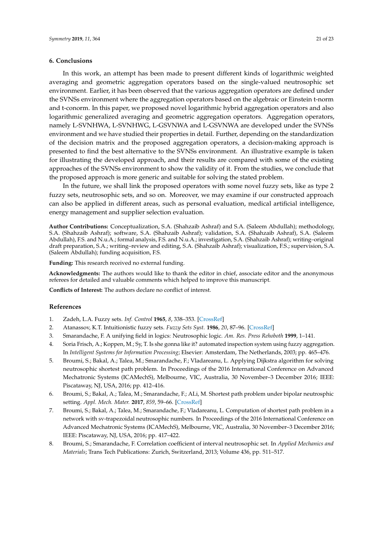## <span id="page-20-5"></span>**6. Conclusions**

In this work, an attempt has been made to present different kinds of logarithmic weighted averaging and geometric aggregation operators based on the single-valued neutrosophic set environment. Earlier, it has been observed that the various aggregation operators are defined under the SVNSs environment where the aggregation operators based on the algebraic or Einstein t-norm and t-conorm. In this paper, we proposed novel logarithmic hybrid aggregation operators and also logarithmic generalized averaging and geometric aggregation operators. Aggregation operators, namely L-SVNHWA, L-SVNHWG, L-GSVNWA and L-GSVNWA are developed under the SVNSs environment and we have studied their properties in detail. Further, depending on the standardization of the decision matrix and the proposed aggregation operators, a decision-making approach is presented to find the best alternative to the SVNSs environment. An illustrative example is taken for illustrating the developed approach, and their results are compared with some of the existing approaches of the SVNSs environment to show the validity of it. From the studies, we conclude that the proposed approach is more generic and suitable for solving the stated problem.

In the future, we shall link the proposed operators with some novel fuzzy sets, like as type 2 fuzzy sets, neutrosophic sets, and so on. Moreover, we may examine if our constructed approach can also be applied in different areas, such as personal evaluation, medical artificial intelligence, energy management and supplier selection evaluation.

**Author Contributions:** Conceptualization, S.A. (Shahzaib Ashraf) and S.A. (Saleem Abdullah); methodology, S.A. (Shahzaib Ashraf); software, S.A. (Shahzaib Ashraf); validation, S.A. (Shahzaib Ashraf), S.A. (Saleem Abdullah), F.S. and N.u.A.; formal analysis, F.S. and N.u.A.; investigation, S.A. (Shahzaib Ashraf); writing–original draft preparation, S.A.; writing–review and editing, S.A. (Shahzaib Ashraf); visualization, F.S.; supervision, S.A. (Saleem Abdullah); funding acquisition, F.S.

**Funding:** This research received no external funding.

**Acknowledgments:** The authors would like to thank the editor in chief, associate editor and the anonymous referees for detailed and valuable comments which helped to improve this manuscript.

**Conflicts of Interest:** The authors declare no conflict of interest.

## **References**

- <span id="page-20-0"></span>1. Zadeh, L.A. Fuzzy sets. *Inf. Control* **1965**, *8*, 338–353. [\[CrossRef\]](http://dx.doi.org/10.1016/S0019-9958(65)90241-X)
- <span id="page-20-1"></span>2. Atanassov, K.T. Intuitionistic fuzzy sets. *Fuzzy Sets Syst.* **1986**, *20*, 87–96. [\[CrossRef\]](http://dx.doi.org/10.1016/S0165-0114(86)80034-3)
- <span id="page-20-2"></span>3. Smarandache, F. A unifying field in logics: Neutrosophic logic. *Am. Res. Press Rehoboth* **1999**, 1–141.
- <span id="page-20-3"></span>4. Soria Frisch, A.; Koppen, M.; Sy, T. Is she gonna like it? automated inspection system using fuzzy aggregation. In *Intelligent Systems for Information Processing*; Elsevier: Amsterdam, The Netherlands, 2003; pp. 465–476.
- <span id="page-20-4"></span>5. Broumi, S.; Bakal, A.; Talea, M.; Smarandache, F.; Vladareanu, L. Applying Dijkstra algorithm for solving neutrosophic shortest path problem. In Proceedings of the 2016 International Conference on Advanced Mechatronic Systems (ICAMechS), Melbourne, VIC, Australia, 30 November–3 December 2016; IEEE: Piscataway, NJ, USA, 2016; pp. 412–416.
- 6. Broumi, S.; Bakal, A.; Talea, M.; Smarandache, F.; ALi, M. Shortest path problem under bipolar neutrosphic setting. *Appl. Mech. Mater.* **2017**, *859*, 59–66. [\[CrossRef\]](http://dx.doi.org/10.4028/www.scientific.net/AMM.859.59)
- 7. Broumi, S.; Bakal, A.; Talea, M.; Smarandache, F.; Vladareanu, L. Computation of shortest path problem in a network with sv-trapezoidal neutrosophic numbers. In Proceedings of the 2016 International Conference on Advanced Mechatronic Systems (ICAMechS), Melbourne, VIC, Australia, 30 November–3 December 2016; IEEE: Piscataway, NJ, USA, 2016; pp. 417–422.
- 8. Broumi, S.; Smarandache, F. Correlation coefficient of interval neutrosophic set. In *Applied Mechanics and Materials*; Trans Tech Publications: Zurich, Switzerland, 2013; Volume 436, pp. 511–517.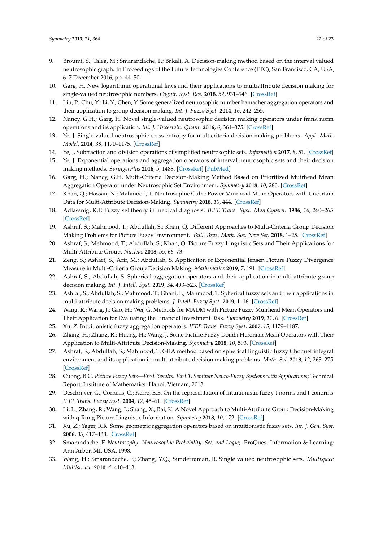- 9. Broumi, S.; Talea, M.; Smarandache, F.; Bakali, A. Decision-making method based on the interval valued neutrosophic graph. In Proceedings of the Future Technologies Conference (FTC), San Francisco, CA, USA, 6–7 December 2016; pp. 44–50.
- <span id="page-21-1"></span>10. Garg, H. New logarithmic operational laws and their applications to multiattribute decision making for single-valued neutrosophic numbers. *Cognit. Syst. Res.* **2018**, *52*, 931–946. [\[CrossRef\]](http://dx.doi.org/10.1016/j.cogsys.2018.09.001)
- <span id="page-21-10"></span>11. Liu, P.; Chu, Y.; Li, Y.; Chen, Y. Some generalized neutrosophic number hamacher aggregation operators and their application to group decision making. *Int. J. Fuzzy Syst.* **2014**, *16*, 242–255.
- <span id="page-21-9"></span>12. Nancy, G.H.; Garg, H. Novel single-valued neutrosophic decision making operators under frank norm operations and its application. *Int. J. Uncertain. Quant.* **2016**, *6*, 361–375. [\[CrossRef\]](http://dx.doi.org/10.1615/Int.J.UncertaintyQuantification.2016018603)
- <span id="page-21-7"></span>13. Ye, J. Single valued neutrosophic cross-entropy for multicriteria decision making problems. *Appl. Math. Model.* **2014**, *38*, 1170–1175. [\[CrossRef\]](http://dx.doi.org/10.1016/j.apm.2013.07.020)
- <span id="page-21-6"></span>14. Ye, J. Subtraction and division operations of simplified neutrosophic sets. *Information* **2017**, *8*, 51. [\[CrossRef\]](http://dx.doi.org/10.3390/info8020051)
- <span id="page-21-8"></span>15. Ye, J. Exponential operations and aggregation operators of interval neutrosophic sets and their decision making methods. *SpringerPlus* **2016**, *5*, 1488. [\[CrossRef\]](http://dx.doi.org/10.1186/s40064-016-3143-z) [\[PubMed\]](http://www.ncbi.nlm.nih.gov/pubmed/28018779)
- 16. Garg, H.; Nancy, G.H. Multi-Criteria Decision-Making Method Based on Prioritized Muirhead Mean Aggregation Operator under Neutrosophic Set Environment. *Symmetry* **2018**, *10*, 280. [\[CrossRef\]](http://dx.doi.org/10.3390/sym10070280)
- <span id="page-21-0"></span>17. Khan, Q.; Hassan, N.; Mahmood, T. Neutrosophic Cubic Power Muirhead Mean Operators with Uncertain Data for Multi-Attribute Decision-Making. *Symmetry* **2018**, *10*, 444. [\[CrossRef\]](http://dx.doi.org/10.3390/sym10100444)
- <span id="page-21-2"></span>18. Adlassnig, K.P. Fuzzy set theory in medical diagnosis. *IEEE Trans. Syst. Man Cybern.* **1986**, *16*, 260–265. [\[CrossRef\]](http://dx.doi.org/10.1109/TSMC.1986.4308946)
- 19. Ashraf, S.; Mahmood, T.; Abdullah, S.; Khan, Q. Different Approaches to Multi-Criteria Group Decision Making Problems for Picture Fuzzy Environment. *Bull. Braz. Math. Soc. New Ser.* **2018**, 1–25. [\[CrossRef\]](http://dx.doi.org/10.1007/s00574-018-0103-y)
- 20. Ashraf, S.; Mehmood, T.; Abdullah, S.; Khan, Q. Picture Fuzzy Linguistic Sets and Their Applications for Multi-Attribute Group. *Nucleus* **2018**, *55*, 66–73.
- 21. Zeng, S.; Asharf, S.; Arif, M.; Abdullah, S. Application of Exponential Jensen Picture Fuzzy Divergence Measure in Multi-Criteria Group Decision Making. *Mathematics* **2019**, *7*, 191. [\[CrossRef\]](http://dx.doi.org/10.3390/math7020191)
- 22. Ashraf, S.; Abdullah, S. Spherical aggregation operators and their application in multi attribute group decision making. *Int. J. Intell. Syst.* **2019**, *34*, 493–523. [\[CrossRef\]](http://dx.doi.org/10.1002/int.22062)
- 23. Ashraf, S.; Abdullah, S.; Mahmood, T.; Ghani, F.; Mahmood, T. Spherical fuzzy sets and their applications in multi-attribute decision making problems. *J. Intell. Fuzzy Syst.* **2019**, 1–16. [\[CrossRef\]](http://dx.doi.org/10.3233/JIFS-172009)
- 24. Wang, R.; Wang, J.; Gao, H.; Wei, G. Methods for MADM with Picture Fuzzy Muirhead Mean Operators and Their Application for Evaluating the Financial Investment Risk. *Symmetry* **2019**, *11*, 6. [\[CrossRef\]](http://dx.doi.org/10.3390/sym11010006)
- 25. Xu, Z. Intuitionistic fuzzy aggregation operators. *IEEE Trans. Fuzzy Syst.* **2007**, *15*, 1179–1187.
- 26. Zhang, H.; Zhang, R.; Huang, H.; Wang, J. Some Picture Fuzzy Dombi Heronian Mean Operators with Their Application to Multi-Attribute Decision-Making. *Symmetry* **2018**, *10*, 593. [\[CrossRef\]](http://dx.doi.org/10.3390/sym10110593)
- 27. Ashraf, S.; Abdullah, S.; Mahmood, T. GRA method based on spherical linguistic fuzzy Choquet integral environment and its application in multi attribute decision making problems. *Math. Sci.* **2018**, *12*, 263–275. [\[CrossRef\]](http://dx.doi.org/10.1007/s40096-018-0266-0)
- 28. Cuong, B.C. *Picture Fuzzy Sets—First Results. Part 1, Seminar Neuro-Fuzzy Systems with Applications*; Technical Report; Institute of Mathematics: Hanoi, Vietnam, 2013.
- 29. Deschrijver, G.; Cornelis, C.; Kerre, E.E. On the representation of intuitionistic fuzzy t-norms and t-conorms. *IEEE Trans. Fuzzy Syst.* **2004**, *12*, 45–61. [\[CrossRef\]](http://dx.doi.org/10.1109/TFUZZ.2003.822678)
- 30. Li, L.; Zhang, R.; Wang, J.; Shang, X.; Bai, K. A Novel Approach to Multi-Attribute Group Decision-Making with q-Rung Picture Linguistic Information. *Symmetry* **2018**, *10*, 172. [\[CrossRef\]](http://dx.doi.org/10.3390/sym10050172)
- <span id="page-21-3"></span>31. Xu, Z.; Yager, R.R. Some geometric aggregation operators based on intuitionistic fuzzy sets. *Int. J. Gen. Syst.* **2006**, *35*, 417–433. [\[CrossRef\]](http://dx.doi.org/10.1080/03081070600574353)
- <span id="page-21-4"></span>32. Smarandache, F. *Neutrosophy. Neutrosophic Probability, Set, and Logic*; ProQuest Information & Learning: Ann Arbor, MI, USA, 1998.
- <span id="page-21-5"></span>33. Wang, H.; Smarandache, F.; Zhang, Y.Q.; Sunderraman, R. Single valued neutrosophic sets. *Multispace Multistruct.* **2010**, *4*, 410–413.